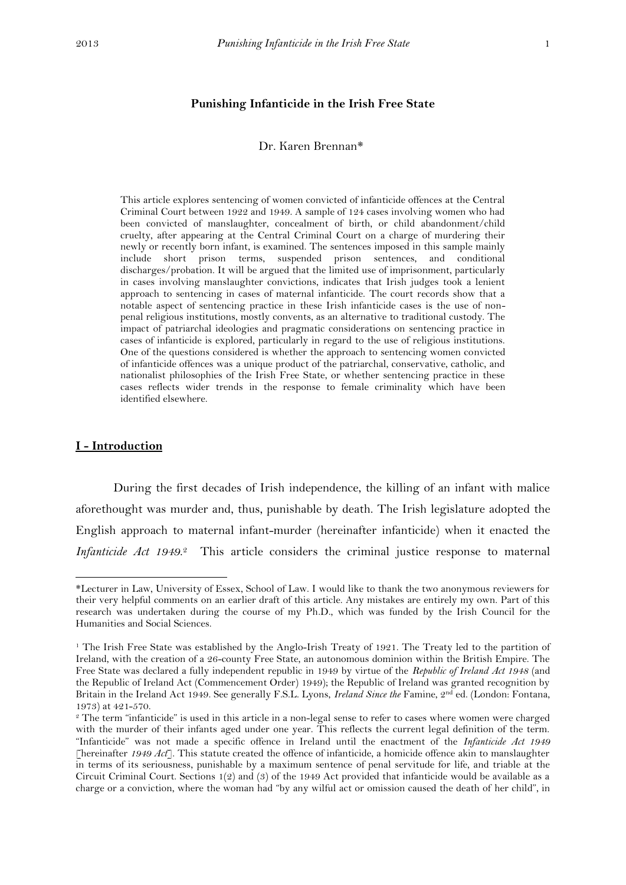#### **Punishing Infanticide in the Irish Free State**

#### Dr. Karen Brennan\*

This article explores sentencing of women convicted of infanticide offences at the Central Criminal Court between 1922 and 1949. A sample of 124 cases involving women who had been convicted of manslaughter, concealment of birth, or child abandonment/child cruelty, after appearing at the Central Criminal Court on a charge of murdering their newly or recently born infant, is examined. The sentences imposed in this sample mainly include short prison terms, suspended prison sentences, and conditional discharges/probation. It will be argued that the limited use of imprisonment, particularly in cases involving manslaughter convictions, indicates that Irish judges took a lenient approach to sentencing in cases of maternal infanticide. The court records show that a notable aspect of sentencing practice in these Irish infanticide cases is the use of nonpenal religious institutions, mostly convents, as an alternative to traditional custody. The impact of patriarchal ideologies and pragmatic considerations on sentencing practice in cases of infanticide is explored, particularly in regard to the use of religious institutions. One of the questions considered is whether the approach to sentencing women convicted of infanticide offences was a unique product of the patriarchal, conservative, catholic, and nationalist philosophies of the Irish Free State, or whether sentencing practice in these cases reflects wider trends in the response to female criminality which have been identified elsewhere.

#### **I - Introduction**

**.** 

During the first decades of Irish independence, the killing of an infant with malice aforethought was murder and, thus, punishable by death. The Irish legislature adopted the English approach to maternal infant-murder (hereinafter infanticide) when it enacted the *Infanticide Act 1949*. <sup>2</sup> This article considers the criminal justice response to maternal

<sup>\*</sup>Lecturer in Law, University of Essex, School of Law. I would like to thank the two anonymous reviewers for their very helpful comments on an earlier draft of this article. Any mistakes are entirely my own. Part of this research was undertaken during the course of my Ph.D., which was funded by the Irish Council for the Humanities and Social Sciences.

<sup>&</sup>lt;sup>1</sup> The Irish Free State was established by the Anglo-Irish Treaty of 1921. The Treaty led to the partition of Ireland, with the creation of a 26-county Free State, an autonomous dominion within the British Empire. The Free State was declared a fully independent republic in 1949 by virtue of the *Republic of Ireland Act 1948* (and the Republic of Ireland Act (Commencement Order) 1949); the Republic of Ireland was granted recognition by Britain in the Ireland Act 1949. See generally F.S.L. Lyons, *Ireland Since the* Famine, 2nd ed. (London: Fontana, 1973) at 421-570.

<sup>&</sup>lt;sup>2</sup> The term "infanticide" is used in this article in a non-legal sense to refer to cases where women were charged with the murder of their infants aged under one year. This reflects the current legal definition of the term. "Infanticide" was not made a specific offence in Ireland until the enactment of the *Infanticide Act 1949* [hereinafter *1949 Act*]. This statute created the offence of infanticide, a homicide offence akin to manslaughter in terms of its seriousness, punishable by a maximum sentence of penal servitude for life, and triable at the Circuit Criminal Court. Sections 1(2) and (3) of the 1949 Act provided that infanticide would be available as a charge or a conviction, where the woman had "by any wilful act or omission caused the death of her child", in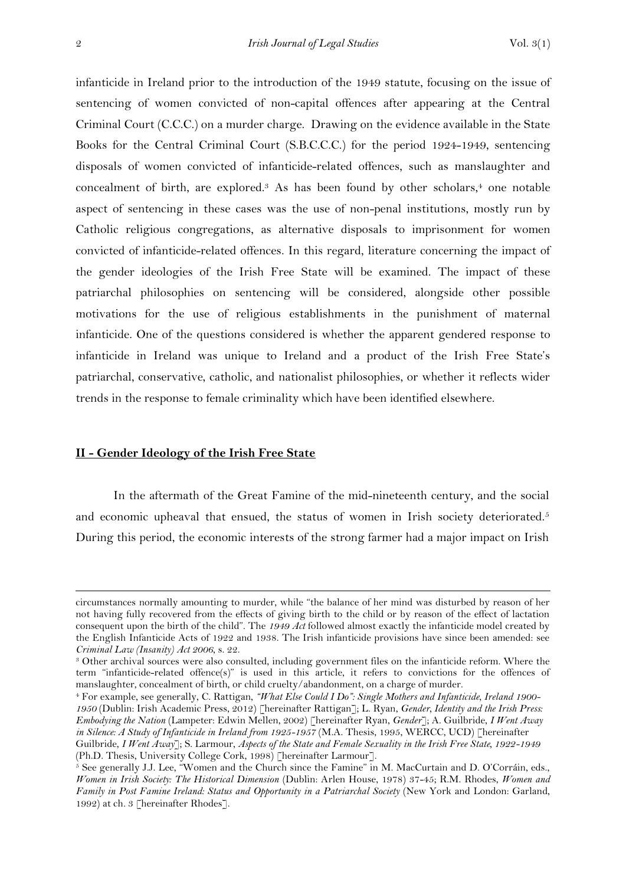infanticide in Ireland prior to the introduction of the 1949 statute, focusing on the issue of sentencing of women convicted of non-capital offences after appearing at the Central Criminal Court (C.C.C.) on a murder charge. Drawing on the evidence available in the State Books for the Central Criminal Court (S.B.C.C.C.) for the period 1924-1949, sentencing disposals of women convicted of infanticide-related offences, such as manslaughter and concealment of birth, are explored.<sup>3</sup> As has been found by other scholars,<sup>4</sup> one notable aspect of sentencing in these cases was the use of non-penal institutions, mostly run by Catholic religious congregations, as alternative disposals to imprisonment for women convicted of infanticide-related offences. In this regard, literature concerning the impact of the gender ideologies of the Irish Free State will be examined. The impact of these patriarchal philosophies on sentencing will be considered, alongside other possible motivations for the use of religious establishments in the punishment of maternal infanticide. One of the questions considered is whether the apparent gendered response to infanticide in Ireland was unique to Ireland and a product of the Irish Free State's patriarchal, conservative, catholic, and nationalist philosophies, or whether it reflects wider trends in the response to female criminality which have been identified elsewhere.

## **II - Gender Ideology of the Irish Free State**

In the aftermath of the Great Famine of the mid-nineteenth century, and the social and economic upheaval that ensued, the status of women in Irish society deteriorated.<sup>5</sup> During this period, the economic interests of the strong farmer had a major impact on Irish

circumstances normally amounting to murder, while "the balance of her mind was disturbed by reason of her not having fully recovered from the effects of giving birth to the child or by reason of the effect of lactation consequent upon the birth of the child". The *1949 Act* followed almost exactly the infanticide model created by the English Infanticide Acts of 1922 and 1938. The Irish infanticide provisions have since been amended: see *Criminal Law (Insanity) Act 2006*, s. 22.

<sup>3</sup> Other archival sources were also consulted, including government files on the infanticide reform. Where the term "infanticide-related offence(s)" is used in this article, it refers to convictions for the offences of manslaughter, concealment of birth, or child cruelty/abandonment, on a charge of murder.

<sup>4</sup> For example, see generally, C. Rattigan, *"What Else Could I Do": Single Mothers and Infanticide, Ireland 1900- 1950* (Dublin: Irish Academic Press, 2012) [hereinafter Rattigan]; L. Ryan, *Gender, Identity and the Irish Press: Embodying the Nation* (Lampeter: Edwin Mellen, 2002) [hereinafter Ryan, *Gender*]; A. Guilbride, *I Went Away in Silence: A Study of Infanticide in Ireland from 1925-1957* (M.A. Thesis, 1995, WERCC, UCD) [hereinafter Guilbride, *I Went Away*]; S. Larmour, *Aspects of the State and Female Sexuality in the Irish Free State, 1922-1949*  (Ph.D. Thesis, University College Cork, 1998) [hereinafter Larmour].

 $\frac{1}{5}$  See generally J.J. Lee, "Women and the Church since the Famine" in M. MacCurtain and D. O'Corráin, eds., *Women in Irish Society: The Historical Dimension* (Dublin: Arlen House, 1978) 37-45; R.M. Rhodes, *Women and Family in Post Famine Ireland: Status and Opportunity in a Patriarchal Society (New York and London: Garland,* 1992) at ch*.* 3 [hereinafter Rhodes].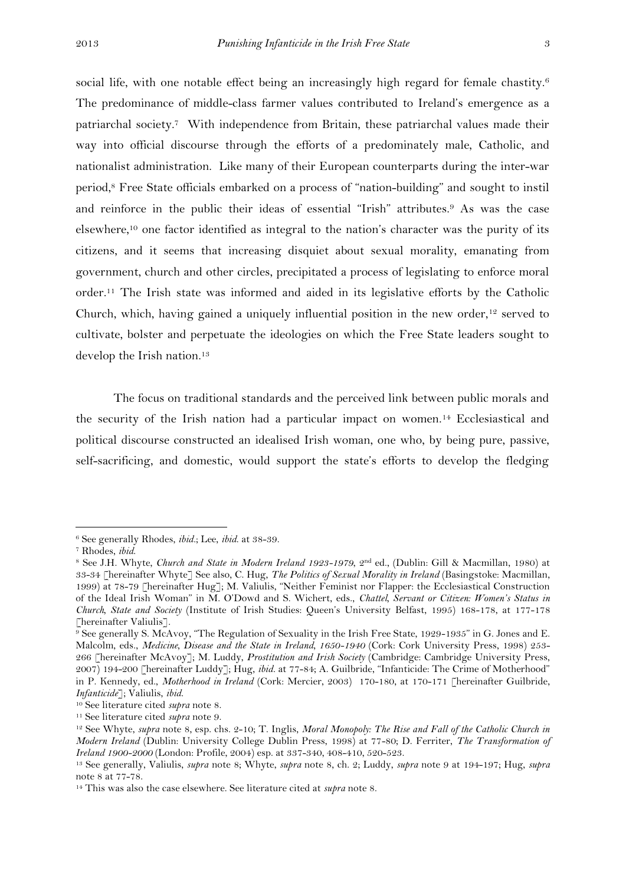social life, with one notable effect being an increasingly high regard for female chastity.<sup>6</sup> The predominance of middle-class farmer values contributed to Ireland's emergence as a patriarchal society.7 With independence from Britain, these patriarchal values made their way into official discourse through the efforts of a predominately male, Catholic, and nationalist administration. Like many of their European counterparts during the inter-war period,<sup>8</sup> Free State officials embarked on a process of "nation-building" and sought to instil and reinforce in the public their ideas of essential "Irish" attributes.<sup>9</sup> As was the case elsewhere,<sup>10</sup> one factor identified as integral to the nation's character was the purity of its citizens, and it seems that increasing disquiet about sexual morality, emanating from government, church and other circles, precipitated a process of legislating to enforce moral order.<sup>11</sup> The Irish state was informed and aided in its legislative efforts by the Catholic Church, which, having gained a uniquely influential position in the new order,  $12$  served to cultivate, bolster and perpetuate the ideologies on which the Free State leaders sought to develop the Irish nation.<sup>13</sup>

The focus on traditional standards and the perceived link between public morals and the security of the Irish nation had a particular impact on women.<sup>14</sup> Ecclesiastical and political discourse constructed an idealised Irish woman, one who, by being pure, passive, self-sacrificing, and domestic, would support the state's efforts to develop the fledging

<sup>6</sup> See generally Rhodes, *ibid.*; Lee, *ibid*. at 38-39.

<sup>7</sup> Rhodes, *ibid*.

<sup>8</sup> See J.H. Whyte, *Church and State in Modern Ireland 1923-1979*, 2nd ed., (Dublin: Gill & Macmillan, 1980) at 33-34 [hereinafter Whyte] See also, C. Hug, *The Politics of Sexual Morality in Ireland* (Basingstoke: Macmillan, 1999) at 78-79 [hereinafter Hug]; M. Valiulis, "Neither Feminist nor Flapper: the Ecclesiastical Construction of the Ideal Irish Woman" in M. O'Dowd and S. Wichert, eds., *Chattel, Servant or Citizen: Women's Status in Church, State and Society* (Institute of Irish Studies: Queen's University Belfast, 1995) 168-178, at 177-178 [hereinafter Valiulis].

<sup>9</sup> See generally S. McAvoy, "The Regulation of Sexuality in the Irish Free State, 1929-1935" in G. Jones and E. Malcolm, eds., *Medicine, Disease and the State in Ireland, 1650-1940* (Cork: Cork University Press, 1998) 253- 266 [hereinafter McAvoy]; M. Luddy, *Prostitution and Irish Society* (Cambridge: Cambridge University Press, 2007) 194-200 [hereinafter Luddy]; Hug, *ibid.* at 77-84; A. Guilbride, "Infanticide: The Crime of Motherhood" in P. Kennedy, ed., *Motherhood in Ireland* (Cork: Mercier, 2003) 170-180, at 170-171 [hereinafter Guilbride, *Infanticide*]; Valiulis, *ibid*.

<sup>10</sup> See literature cited *supra* note 8.

<sup>11</sup> See literature cited *supra* note 9.

<sup>12</sup> See Whyte, *supra* note 8, esp. chs. 2-10; T. Inglis, *Moral Monopoly: The Rise and Fall of the Catholic Church in Modern Ireland* (Dublin: University College Dublin Press, 1998) at 77-80; D. Ferriter, *The Transformation of Ireland 1900-2000* (London: Profile, 2004) esp. at 337-340, 408-410, 520-523.

<sup>13</sup> See generally, Valiulis, *supra* note 8; Whyte, *supra* note 8, ch. 2; Luddy, *supra* note 9 at 194-197; Hug, *supra* note 8 at 77-78.

<sup>14</sup> This was also the case elsewhere. See literature cited at *supra* note 8.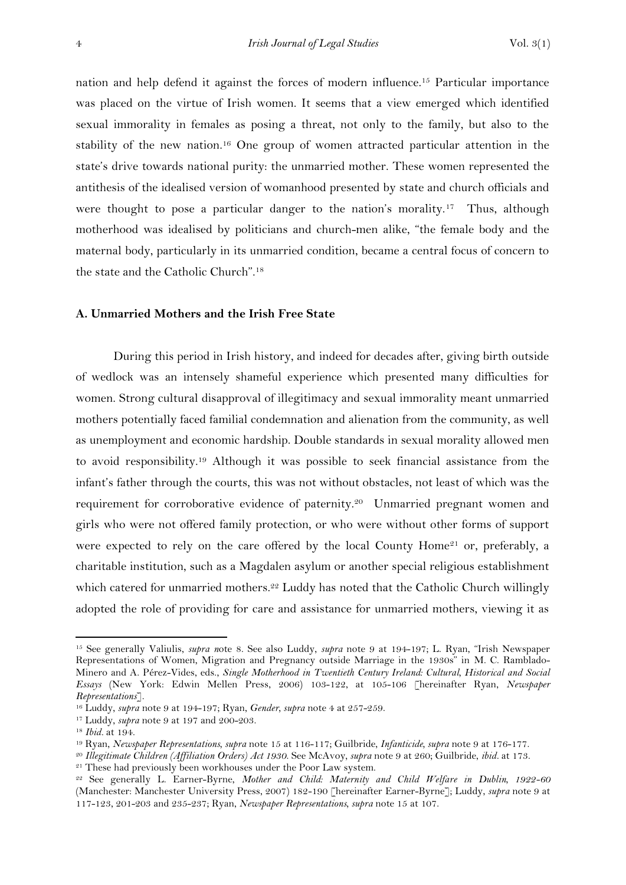nation and help defend it against the forces of modern influence.<sup>15</sup> Particular importance was placed on the virtue of Irish women. It seems that a view emerged which identified sexual immorality in females as posing a threat, not only to the family, but also to the stability of the new nation.<sup>16</sup> One group of women attracted particular attention in the state's drive towards national purity: the unmarried mother. These women represented the antithesis of the idealised version of womanhood presented by state and church officials and were thought to pose a particular danger to the nation's morality.<sup>17</sup> Thus, although motherhood was idealised by politicians and church-men alike, "the female body and the maternal body, particularly in its unmarried condition, became a central focus of concern to the state and the Catholic Church".<sup>18</sup>

### **A. Unmarried Mothers and the Irish Free State**

During this period in Irish history, and indeed for decades after, giving birth outside of wedlock was an intensely shameful experience which presented many difficulties for women. Strong cultural disapproval of illegitimacy and sexual immorality meant unmarried mothers potentially faced familial condemnation and alienation from the community, as well as unemployment and economic hardship. Double standards in sexual morality allowed men to avoid responsibility.<sup>19</sup> Although it was possible to seek financial assistance from the infant's father through the courts, this was not without obstacles, not least of which was the requirement for corroborative evidence of paternity.<sup>20</sup> Unmarried pregnant women and girls who were not offered family protection, or who were without other forms of support were expected to rely on the care offered by the local County Home<sup>21</sup> or, preferably, a charitable institution, such as a Magdalen asylum or another special religious establishment which catered for unmarried mothers.<sup>22</sup> Luddy has noted that the Catholic Church willingly adopted the role of providing for care and assistance for unmarried mothers, viewing it as

<sup>15</sup> See generally Valiulis, *supra n*ote 8. See also Luddy, *supra* note 9 at 194-197; L. Ryan, "Irish Newspaper Representations of Women, Migration and Pregnancy outside Marriage in the 1930s" in M. C. Ramblado-Minero and A. Pérez-Vides, eds., *Single Motherhood in Twentieth Century Ireland: Cultural, Historical and Social Essays* (New York: Edwin Mellen Press, 2006) 103-122, at 105-106 [hereinafter Ryan, *Newspaper Representations*].

<sup>16</sup> Luddy, *supra* note 9 at 194-197; Ryan, *Gender, supra* note 4 at 257-259.

<sup>17</sup> Luddy, *supra* note 9 at 197 and 200-203.

<sup>18</sup> *Ibid.* at 194.

<sup>19</sup> Ryan, *Newspaper Representations, supra* note 15 at 116-117; Guilbride, *Infanticide, supra* note 9 at 176-177.

<sup>20</sup> *Illegitimate Children (Affiliation Orders) Act 1930*. See McAvoy*, supra* note 9 at 260; Guilbride, *ibid.* at 173.

<sup>&</sup>lt;sup>21</sup> These had previously been workhouses under the Poor Law system.

<sup>22</sup> See generally L. Earner-Byrne, *Mother and Child: Maternity and Child Welfare in Dublin, 1922-60* (Manchester: Manchester University Press, 2007) 182-190 [hereinafter Earner-Byrne]; Luddy, *supra* note 9 at 117-123, 201-203 and 235-237; Ryan, *Newspaper Representations, supra* note 15 at 107.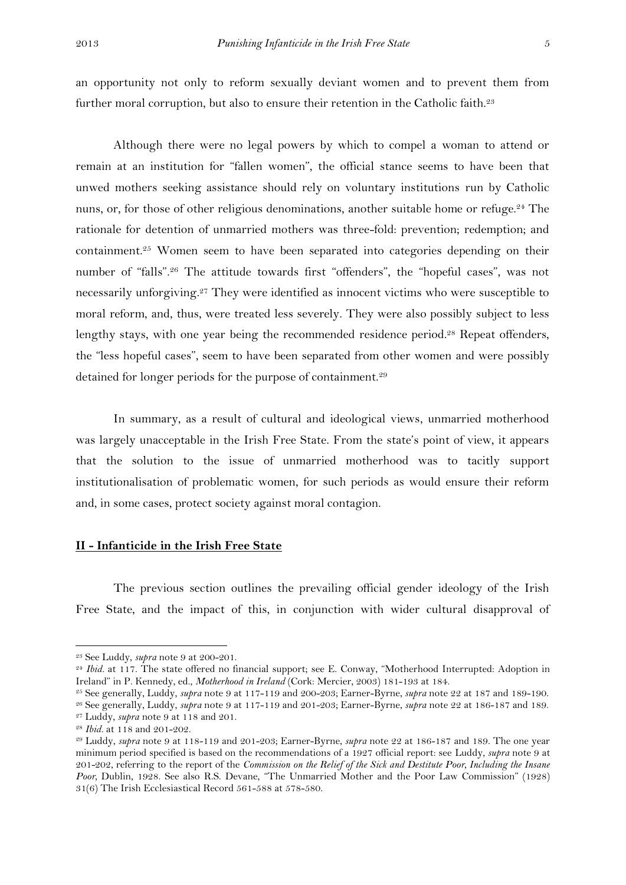Although there were no legal powers by which to compel a woman to attend or remain at an institution for "fallen women", the official stance seems to have been that unwed mothers seeking assistance should rely on voluntary institutions run by Catholic nuns, or, for those of other religious denominations, another suitable home or refuge.<sup>24</sup> The rationale for detention of unmarried mothers was three-fold: prevention; redemption; and containment.<sup>25</sup> Women seem to have been separated into categories depending on their number of "falls".<sup>26</sup> The attitude towards first "offenders", the "hopeful cases", was not necessarily unforgiving.<sup>27</sup> They were identified as innocent victims who were susceptible to moral reform, and, thus, were treated less severely. They were also possibly subject to less lengthy stays, with one year being the recommended residence period. <sup>28</sup> Repeat offenders, the "less hopeful cases", seem to have been separated from other women and were possibly detained for longer periods for the purpose of containment.<sup>29</sup>

In summary, as a result of cultural and ideological views, unmarried motherhood was largely unacceptable in the Irish Free State. From the state's point of view, it appears that the solution to the issue of unmarried motherhood was to tacitly support institutionalisation of problematic women, for such periods as would ensure their reform and, in some cases, protect society against moral contagion.

#### **II - Infanticide in the Irish Free State**

The previous section outlines the prevailing official gender ideology of the Irish Free State, and the impact of this, in conjunction with wider cultural disapproval of

<sup>23</sup> See Luddy, *supra* note 9 at 200-201.

<sup>&</sup>lt;sup>24</sup> *Ibid.* at 117. The state offered no financial support; see E. Conway, "Motherhood Interrupted: Adoption in Ireland" in P. Kennedy, ed., *Motherhood in Ireland* (Cork: Mercier, 2003) 181-193 at 184.

<sup>25</sup> See generally, Luddy, *supra* note 9 at 117-119 and 200-203; Earner-Byrne, *supra* note 22 at 187 and 189-190.

<sup>26</sup> See generally, Luddy, *supra* note 9 at 117-119 and 201-203; Earner-Byrne, *supra* note 22 at 186-187 and 189. <sup>27</sup> Luddy, *supra* note 9 at 118 and 201.

<sup>28</sup> *Ibid.* at 118 and 201-202.

<sup>29</sup> Luddy, *supra* note 9 at 118-119 and 201-203; Earner-Byrne, *supra* note 22 at 186-187 and 189. The one year minimum period specified is based on the recommendations of a 1927 official report: see Luddy, *supra* note 9 at 201-202, referring to the report of the *Commission on the Relief of the Sick and Destitute Poor, Including the Insane Poor,* Dublin, 1928. See also R.S. Devane, "The Unmarried Mother and the Poor Law Commission" (1928) 31(6) The Irish Ecclesiastical Record 561-588 at 578-580.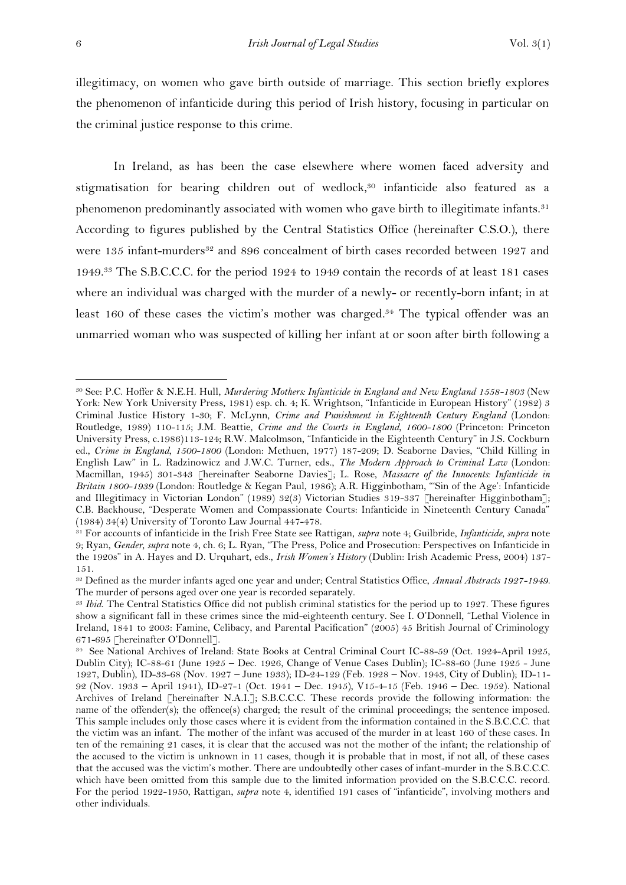illegitimacy, on women who gave birth outside of marriage. This section briefly explores the phenomenon of infanticide during this period of Irish history, focusing in particular on the criminal justice response to this crime.

In Ireland, as has been the case elsewhere where women faced adversity and stigmatisation for bearing children out of wedlock, <sup>30</sup> infanticide also featured as a phenomenon predominantly associated with women who gave birth to illegitimate infants.<sup>31</sup> According to figures published by the Central Statistics Office (hereinafter C.S.O.), there were 135 infant-murders<sup>32</sup> and 896 concealment of birth cases recorded between 1927 and 1949.<sup>33</sup> The S.B.C.C.C. for the period 1924 to 1949 contain the records of at least 181 cases where an individual was charged with the murder of a newly- or recently-born infant; in at least 160 of these cases the victim's mother was charged. <sup>34</sup> The typical offender was an unmarried woman who was suspected of killing her infant at or soon after birth following a

<sup>30</sup> See: P.C. Hoffer & N.E.H. Hull, *Murdering Mothers: Infanticide in England and New England 1558-1803* (New York: New York University Press, 1981) esp. ch. 4; K. Wrightson, "Infanticide in European History" (1982) 3 Criminal Justice History 1-30; F. McLynn, *Crime and Punishment in Eighteenth Century England* (London: Routledge, 1989) 110-115; J.M. Beattie, *Crime and the Courts in England, 1600-1800* (Princeton: Princeton University Press, c.1986)113-124; R.W. Malcolmson, "Infanticide in the Eighteenth Century" in J.S. Cockburn ed., *Crime in England, 1500-1800* (London: Methuen, 1977) 187-209; D. Seaborne Davies, "Child Killing in English Law" in L. Radzinowicz and J.W.C. Turner, eds., *The Modern Approach to Criminal Law* (London: Macmillan, 1945) 301-343 [hereinafter Seaborne Davies]; L. Rose, *Massacre of the Innocents: Infanticide in Britain 1800-1939* (London: Routledge & Kegan Paul, 1986); A.R. Higginbotham, "'Sin of the Age': Infanticide and Illegitimacy in Victorian London" (1989) 32(3) Victorian Studies 319-337 [hereinafter Higginbotham]; C.B. Backhouse, "Desperate Women and Compassionate Courts: Infanticide in Nineteenth Century Canada" (1984) 34(4) University of Toronto Law Journal 447-478.

<sup>31</sup> For accounts of infanticide in the Irish Free State see Rattigan, *supra* note 4; Guilbride, *Infanticide, supra* note 9; Ryan, *Gender, supra* note 4, ch. 6; L. Ryan, "The Press, Police and Prosecution: Perspectives on Infanticide in the 1920s" in A. Hayes and D. Urquhart, eds., *Irish Women's History* (Dublin: Irish Academic Press, 2004) 137- 151.

<sup>32</sup> Defined as the murder infants aged one year and under; Central Statistics Office, *Annual Abstracts 1927-1949*. The murder of persons aged over one year is recorded separately.

<sup>33</sup> *Ibid*. The Central Statistics Office did not publish criminal statistics for the period up to 1927. These figures show a significant fall in these crimes since the mid-eighteenth century. See I. O'Donnell, "Lethal Violence in Ireland, 1841 to 2003: Famine, Celibacy, and Parental Pacification" (2005) 45 British Journal of Criminology 671-695 [hereinafter O'Donnell].

<sup>34</sup> See National Archives of Ireland: State Books at Central Criminal Court IC-88-59 (Oct. 1924-April 1925, Dublin City); IC-88-61 (June 1925 – Dec. 1926, Change of Venue Cases Dublin); IC-88-60 (June 1925 - June 1927, Dublin), ID-33-68 (Nov. 1927 – June 1933); ID-24-129 (Feb. 1928 – Nov. 1943, City of Dublin); ID-11- 92 (Nov. 1933 – April 1941), ID-27-1 (Oct. 1941 – Dec. 1945), V15-4-15 (Feb. 1946 – Dec. 1952). National Archives of Ireland [hereinafter N.A.I.]; S.B.C.C.C. These records provide the following information: the name of the offender(s); the offence(s) charged; the result of the criminal proceedings; the sentence imposed. This sample includes only those cases where it is evident from the information contained in the S.B.C.C.C. that the victim was an infant. The mother of the infant was accused of the murder in at least 160 of these cases. In ten of the remaining 21 cases, it is clear that the accused was not the mother of the infant; the relationship of the accused to the victim is unknown in 11 cases, though it is probable that in most, if not all, of these cases that the accused was the victim's mother. There are undoubtedly other cases of infant-murder in the S.B.C.C.C. which have been omitted from this sample due to the limited information provided on the S.B.C.C.C. record. For the period 1922-1950, Rattigan, *supra* note 4, identified 191 cases of "infanticide", involving mothers and other individuals.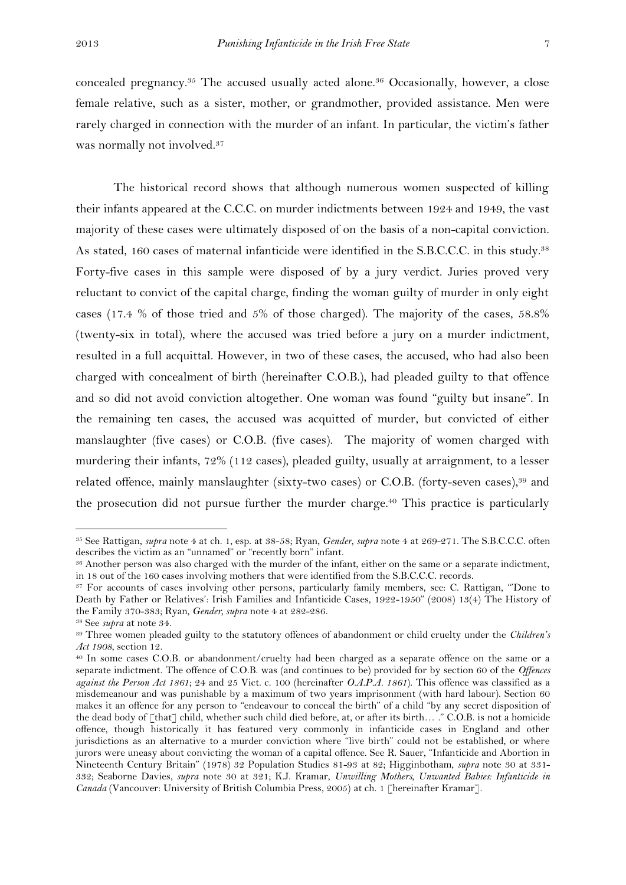concealed pregnancy.<sup>35</sup> The accused usually acted alone.<sup>36</sup> Occasionally, however, a close female relative, such as a sister, mother, or grandmother, provided assistance. Men were rarely charged in connection with the murder of an infant. In particular, the victim's father was normally not involved.<sup>37</sup>

The historical record shows that although numerous women suspected of killing their infants appeared at the C.C.C. on murder indictments between 1924 and 1949, the vast majority of these cases were ultimately disposed of on the basis of a non-capital conviction. As stated, 160 cases of maternal infanticide were identified in the S.B.C.C.C. in this study.<sup>38</sup> Forty-five cases in this sample were disposed of by a jury verdict. Juries proved very reluctant to convict of the capital charge, finding the woman guilty of murder in only eight cases (17.4 % of those tried and 5% of those charged). The majority of the cases, 58.8% (twenty-six in total), where the accused was tried before a jury on a murder indictment, resulted in a full acquittal. However, in two of these cases, the accused, who had also been charged with concealment of birth (hereinafter C.O.B.), had pleaded guilty to that offence and so did not avoid conviction altogether. One woman was found "guilty but insane". In the remaining ten cases, the accused was acquitted of murder, but convicted of either manslaughter (five cases) or C.O.B. (five cases). The majority of women charged with murdering their infants, 72% (112 cases), pleaded guilty, usually at arraignment, to a lesser related offence, mainly manslaughter (sixty-two cases) or C.O.B. (forty-seven cases),<sup>39</sup> and the prosecution did not pursue further the murder charge. <sup>40</sup> This practice is particularly

<sup>35</sup> See Rattigan, *supra* note 4 at ch. 1, esp. at 38-58; Ryan, *Gender, supra* note 4 at 269-271. The S.B.C.C.C. often describes the victim as an "unnamed" or "recently born" infant.

<sup>36</sup> Another person was also charged with the murder of the infant, either on the same or a separate indictment, in 18 out of the 160 cases involving mothers that were identified from the S.B.C.C.C. records.

<sup>37</sup> For accounts of cases involving other persons, particularly family members, see: C. Rattigan, "'Done to Death by Father or Relatives': Irish Families and Infanticide Cases, 1922-1950" (2008) 13(4) The History of the Family 370-383; Ryan, *Gender, supra* note 4 at 282-286.

<sup>38</sup> See *supra* at note 34.

<sup>39</sup> Three women pleaded guilty to the statutory offences of abandonment or child cruelty under the *Children's Act 1908*, section 12.

<sup>40</sup> In some cases C.O.B. or abandonment/cruelty had been charged as a separate offence on the same or a separate indictment. The offence of C.O.B. was (and continues to be) provided for by section 60 of the *Offences against the Person Act 1861*; 24 and 25 Vict. c. 100 (hereinafter *O.A.P.A. 1861*). This offence was classified as a misdemeanour and was punishable by a maximum of two years imprisonment (with hard labour). Section 60 makes it an offence for any person to "endeavour to conceal the birth" of a child "by any secret disposition of the dead body of [that] child, whether such child died before, at, or after its birth… ." C.O.B. is not a homicide offence, though historically it has featured very commonly in infanticide cases in England and other jurisdictions as an alternative to a murder conviction where "live birth" could not be established, or where jurors were uneasy about convicting the woman of a capital offence. See R. Sauer, "Infanticide and Abortion in Nineteenth Century Britain" (1978) 32 Population Studies 81-93 at 82; Higginbotham, *supra* note 30 at 331- 332; Seaborne Davies, *supra* note 30 at 321; K.J. Kramar, *Unwilling Mothers, Unwanted Babies: Infanticide in Canada* (Vancouver: University of British Columbia Press, 2005) at ch. 1 [hereinafter Kramar].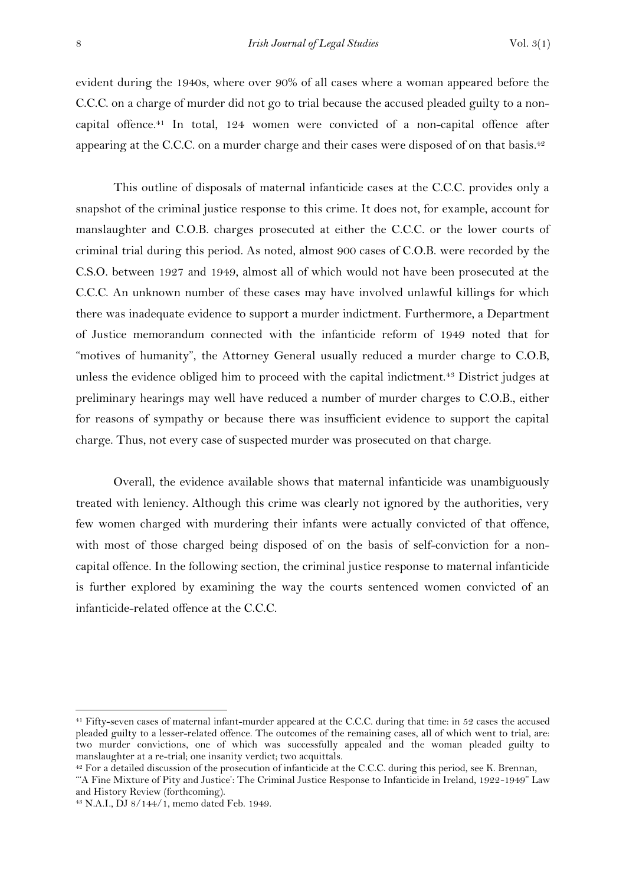evident during the 1940s, where over 90% of all cases where a woman appeared before the C.C.C. on a charge of murder did not go to trial because the accused pleaded guilty to a noncapital offence.<sup>41</sup> In total, 124 women were convicted of a non-capital offence after appearing at the C.C.C. on a murder charge and their cases were disposed of on that basis.<sup>42</sup>

This outline of disposals of maternal infanticide cases at the C.C.C. provides only a snapshot of the criminal justice response to this crime. It does not, for example, account for manslaughter and C.O.B. charges prosecuted at either the C.C.C. or the lower courts of criminal trial during this period. As noted, almost 900 cases of C.O.B. were recorded by the C.S.O. between 1927 and 1949, almost all of which would not have been prosecuted at the C.C.C. An unknown number of these cases may have involved unlawful killings for which there was inadequate evidence to support a murder indictment. Furthermore, a Department of Justice memorandum connected with the infanticide reform of 1949 noted that for "motives of humanity", the Attorney General usually reduced a murder charge to C.O.B, unless the evidence obliged him to proceed with the capital indictment.<sup>43</sup> District judges at preliminary hearings may well have reduced a number of murder charges to C.O.B., either for reasons of sympathy or because there was insufficient evidence to support the capital charge. Thus, not every case of suspected murder was prosecuted on that charge.

Overall, the evidence available shows that maternal infanticide was unambiguously treated with leniency. Although this crime was clearly not ignored by the authorities, very few women charged with murdering their infants were actually convicted of that offence, with most of those charged being disposed of on the basis of self-conviction for a noncapital offence. In the following section, the criminal justice response to maternal infanticide is further explored by examining the way the courts sentenced women convicted of an infanticide-related offence at the C.C.C.

<sup>&</sup>lt;sup>41</sup> Fifty-seven cases of maternal infant-murder appeared at the C.C.C. during that time: in 52 cases the accused pleaded guilty to a lesser-related offence. The outcomes of the remaining cases, all of which went to trial, are: two murder convictions, one of which was successfully appealed and the woman pleaded guilty to manslaughter at a re-trial; one insanity verdict; two acquittals.

<sup>&</sup>lt;sup>42</sup> For a detailed discussion of the prosecution of infanticide at the C.C.C. during this period, see K. Brennan,

<sup>&</sup>quot;'A Fine Mixture of Pity and Justice': The Criminal Justice Response to Infanticide in Ireland, 1922-1949" Law and History Review (forthcoming).

<sup>43</sup> N.A.I., DJ 8/144/1, memo dated Feb. 1949.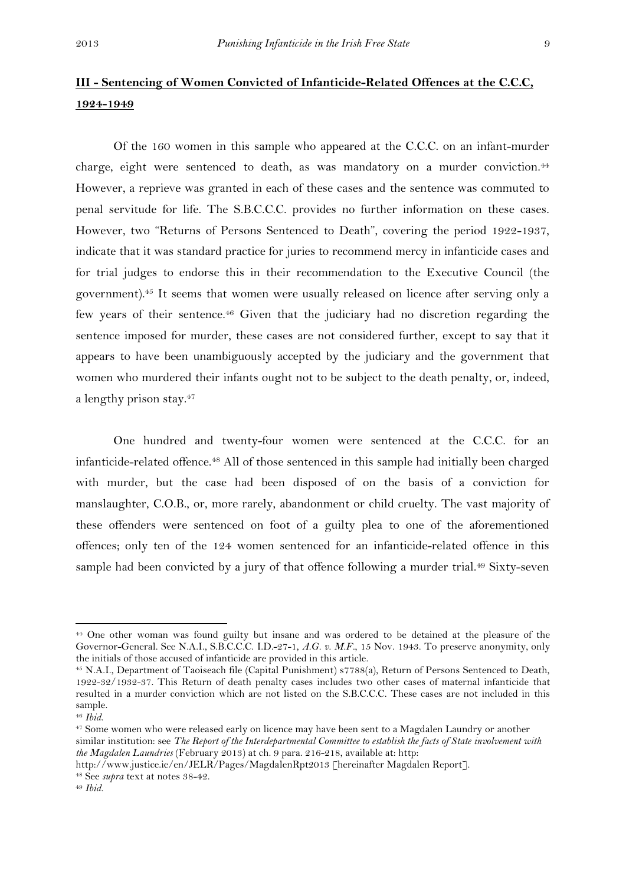# **III - Sentencing of Women Convicted of Infanticide-Related Offences at the C.C.C, 1924-1949**

Of the 160 women in this sample who appeared at the C.C.C. on an infant-murder charge, eight were sentenced to death, as was mandatory on a murder conviction.<sup>44</sup> However, a reprieve was granted in each of these cases and the sentence was commuted to penal servitude for life. The S.B.C.C.C. provides no further information on these cases. However, two "Returns of Persons Sentenced to Death", covering the period 1922-1937, indicate that it was standard practice for juries to recommend mercy in infanticide cases and for trial judges to endorse this in their recommendation to the Executive Council (the government).<sup>45</sup> It seems that women were usually released on licence after serving only a few years of their sentence.<sup>46</sup> Given that the judiciary had no discretion regarding the sentence imposed for murder, these cases are not considered further, except to say that it appears to have been unambiguously accepted by the judiciary and the government that women who murdered their infants ought not to be subject to the death penalty, or, indeed, a lengthy prison stay.<sup>47</sup>

One hundred and twenty-four women were sentenced at the C.C.C. for an infanticide-related offence.<sup>48</sup> All of those sentenced in this sample had initially been charged with murder, but the case had been disposed of on the basis of a conviction for manslaughter, C.O.B., or, more rarely, abandonment or child cruelty. The vast majority of these offenders were sentenced on foot of a guilty plea to one of the aforementioned offences; only ten of the 124 women sentenced for an infanticide-related offence in this sample had been convicted by a jury of that offence following a murder trial.<sup>49</sup> Sixty-seven

<sup>44</sup> One other woman was found guilty but insane and was ordered to be detained at the pleasure of the Governor-General. See N.A.I., S.B.C.C.C. I.D.-27-1, *A.G. v. M.F.*, 15 Nov. 1943. To preserve anonymity, only the initials of those accused of infanticide are provided in this article.

<sup>45</sup> N.A.I., Department of Taoiseach file (Capital Punishment) s7788(a), Return of Persons Sentenced to Death, 1922-32/1932-37. This Return of death penalty cases includes two other cases of maternal infanticide that resulted in a murder conviction which are not listed on the S.B.C.C.C. These cases are not included in this sample.

<sup>46</sup> *Ibid*.

<sup>&</sup>lt;sup>47</sup> Some women who were released early on licence may have been sent to a Magdalen Laundry or another similar institution: see *The Report of the Interdepartmental Committee to establish the facts of State involvement with the Magdalen Laundries* (February 2013) at ch. 9 para. 216-218, available at: http:

http://www.justice.ie/en/JELR/Pages/MagdalenRpt2013 [hereinafter Magdalen Report]. <sup>48</sup> See *supra* text at notes 38-42.

<sup>49</sup> *Ibid.*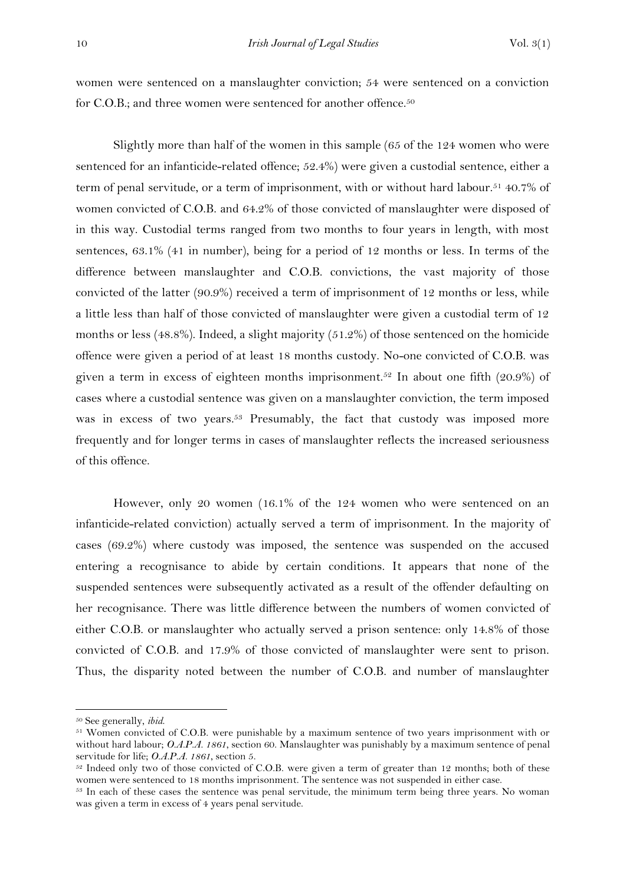women were sentenced on a manslaughter conviction; 54 were sentenced on a conviction for C.O.B.; and three women were sentenced for another offence.<sup>50</sup>

Slightly more than half of the women in this sample (65 of the 124 women who were sentenced for an infanticide-related offence; 52.4%) were given a custodial sentence, either a term of penal servitude, or a term of imprisonment, with or without hard labour.<sup>51</sup> 40.7% of women convicted of C.O.B. and 64.2% of those convicted of manslaughter were disposed of in this way. Custodial terms ranged from two months to four years in length, with most sentences, 63.1% (41 in number), being for a period of 12 months or less. In terms of the difference between manslaughter and C.O.B. convictions, the vast majority of those convicted of the latter (90.9%) received a term of imprisonment of 12 months or less, while a little less than half of those convicted of manslaughter were given a custodial term of 12 months or less (48.8%). Indeed, a slight majority (51.2%) of those sentenced on the homicide offence were given a period of at least 18 months custody. No-one convicted of C.O.B. was given a term in excess of eighteen months imprisonment.<sup>52</sup> In about one fifth (20.9%) of cases where a custodial sentence was given on a manslaughter conviction, the term imposed was in excess of two years.<sup>53</sup> Presumably, the fact that custody was imposed more frequently and for longer terms in cases of manslaughter reflects the increased seriousness of this offence.

However, only 20 women (16.1% of the 124 women who were sentenced on an infanticide-related conviction) actually served a term of imprisonment. In the majority of cases (69.2%) where custody was imposed, the sentence was suspended on the accused entering a recognisance to abide by certain conditions. It appears that none of the suspended sentences were subsequently activated as a result of the offender defaulting on her recognisance. There was little difference between the numbers of women convicted of either C.O.B. or manslaughter who actually served a prison sentence: only 14.8% of those convicted of C.O.B. and 17.9% of those convicted of manslaughter were sent to prison. Thus, the disparity noted between the number of C.O.B. and number of manslaughter

<sup>50</sup> See generally, *ibid*.

<sup>&</sup>lt;sup>51</sup> Women convicted of C.O.B. were punishable by a maximum sentence of two years imprisonment with or without hard labour; *O.A.P.A. 1861*, section 60. Manslaughter was punishably by a maximum sentence of penal servitude for life; *O.A.P.A. 1861*, section 5.

<sup>&</sup>lt;sup>52</sup> Indeed only two of those convicted of C.O.B. were given a term of greater than 12 months; both of these women were sentenced to 18 months imprisonment. The sentence was not suspended in either case.

<sup>53</sup> In each of these cases the sentence was penal servitude, the minimum term being three years. No woman was given a term in excess of 4 years penal servitude.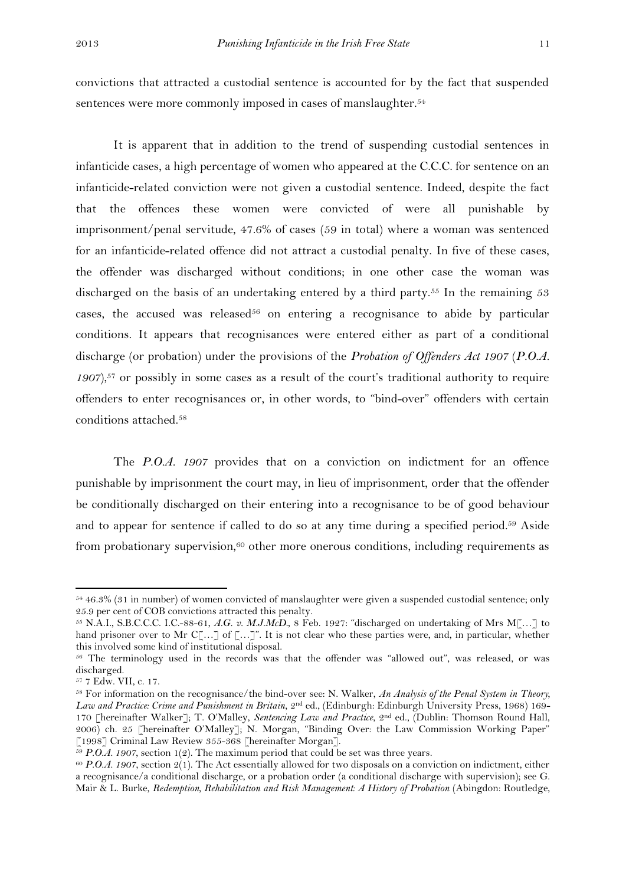convictions that attracted a custodial sentence is accounted for by the fact that suspended sentences were more commonly imposed in cases of manslaughter.<sup>54</sup>

It is apparent that in addition to the trend of suspending custodial sentences in infanticide cases, a high percentage of women who appeared at the C.C.C. for sentence on an infanticide-related conviction were not given a custodial sentence. Indeed, despite the fact that the offences these women were convicted of were all punishable by imprisonment/penal servitude, 47.6% of cases (59 in total) where a woman was sentenced for an infanticide-related offence did not attract a custodial penalty. In five of these cases, the offender was discharged without conditions; in one other case the woman was discharged on the basis of an undertaking entered by a third party.<sup>55</sup> In the remaining 53 cases, the accused was released<sup>56</sup> on entering a recognisance to abide by particular conditions. It appears that recognisances were entered either as part of a conditional discharge (or probation) under the provisions of the *Probation of Offenders Act 1907* (*P.O.A. 1907*), <sup>57</sup> or possibly in some cases as a result of the court's traditional authority to require offenders to enter recognisances or, in other words, to "bind-over" offenders with certain conditions attached.<sup>58</sup>

The *P.O.A. 1907* provides that on a conviction on indictment for an offence punishable by imprisonment the court may, in lieu of imprisonment, order that the offender be conditionally discharged on their entering into a recognisance to be of good behaviour and to appear for sentence if called to do so at any time during a specified period. <sup>59</sup> Aside from probationary supervision, $60$  other more onerous conditions, including requirements as

<sup>54</sup> 46.3% (31 in number) of women convicted of manslaughter were given a suspended custodial sentence; only 25.9 per cent of COB convictions attracted this penalty.

<sup>55</sup> N.A.I., S.B.C.C.C. I.C.-88-61, *A.G. v. M.J.McD.*, 8 Feb. 1927: "discharged on undertaking of Mrs M[…] to hand prisoner over to Mr C[...] of [...]". It is not clear who these parties were, and, in particular, whether this involved some kind of institutional disposal.

<sup>&</sup>lt;sup>56</sup> The terminology used in the records was that the offender was "allowed out", was released, or was discharged.

<sup>57</sup> 7 Edw. VII, c. 17.

<sup>58</sup> For information on the recognisance/the bind-over see: N. Walker, *An Analysis of the Penal System in Theory, Law and Practice: Crime and Punishment in Britain*, 2nd ed., (Edinburgh: Edinburgh University Press, 1968) 169- 170 [hereinafter Walker]; T. O'Malley, *Sentencing Law and Practice*, 2nd ed., (Dublin: Thomson Round Hall, 2006) ch. 25 [hereinafter O'Malley]; N. Morgan, "Binding Over: the Law Commission Working Paper" [1998] Criminal Law Review 355-368 [hereinafter Morgan].

<sup>59</sup> *P.O.A. 1907*, section 1(2). The maximum period that could be set was three years.

<sup>60</sup> *P.O.A. 1907*, section 2(1). The Act essentially allowed for two disposals on a conviction on indictment, either a recognisance/a conditional discharge, or a probation order (a conditional discharge with supervision); see G. Mair & L. Burke, *Redemption, Rehabilitation and Risk Management: A History of Probation* (Abingdon: Routledge,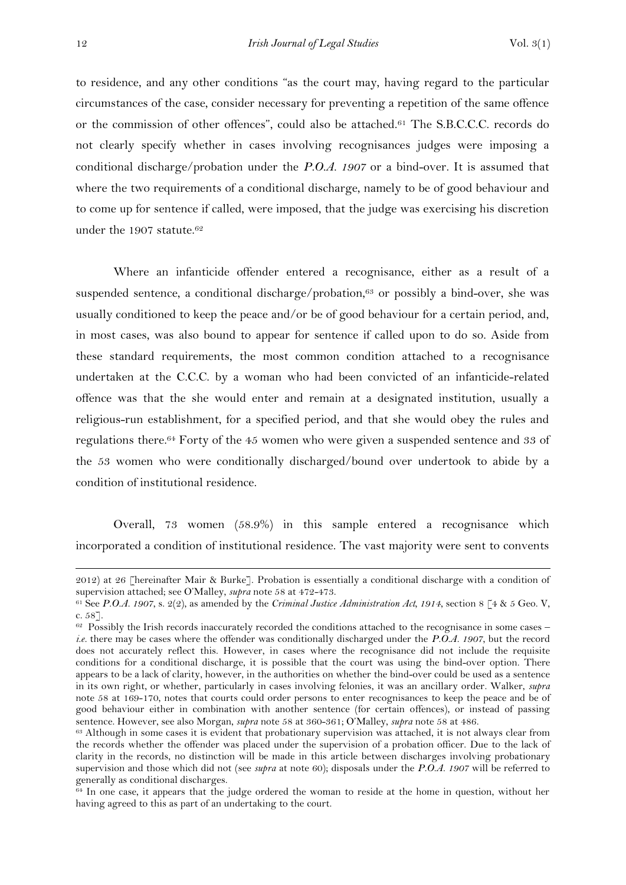to residence, and any other conditions "as the court may, having regard to the particular circumstances of the case, consider necessary for preventing a repetition of the same offence or the commission of other offences", could also be attached.<sup>61</sup> The S.B.C.C.C. records do not clearly specify whether in cases involving recognisances judges were imposing a conditional discharge/probation under the *P.O.A. 1907* or a bind-over. It is assumed that where the two requirements of a conditional discharge, namely to be of good behaviour and to come up for sentence if called, were imposed, that the judge was exercising his discretion under the 1907 statute. 62

Where an infanticide offender entered a recognisance, either as a result of a suspended sentence, a conditional discharge/probation, $63$  or possibly a bind-over, she was usually conditioned to keep the peace and/or be of good behaviour for a certain period, and, in most cases, was also bound to appear for sentence if called upon to do so. Aside from these standard requirements, the most common condition attached to a recognisance undertaken at the C.C.C. by a woman who had been convicted of an infanticide-related offence was that the she would enter and remain at a designated institution, usually a religious-run establishment, for a specified period, and that she would obey the rules and regulations there.<sup>64</sup> Forty of the 45 women who were given a suspended sentence and 33 of the 53 women who were conditionally discharged/bound over undertook to abide by a condition of institutional residence.

Overall, 73 women (58.9%) in this sample entered a recognisance which incorporated a condition of institutional residence. The vast majority were sent to convents

<sup>2012)</sup> at 26 [hereinafter Mair & Burke]. Probation is essentially a conditional discharge with a condition of supervision attached; see O'Malley, *supra* note 58 at 472-473.

<sup>61</sup> See *P.O.A. 1907*, s. 2(2), as amended by the *Criminal Justice Administration Act, 1914*, section 8 [4 & 5 Geo. V, c. 58].

 $62$  Possibly the Irish records inaccurately recorded the conditions attached to the recognisance in some cases – *i.e.* there may be cases where the offender was conditionally discharged under the *P.O.A. 1907*, but the record does not accurately reflect this. However, in cases where the recognisance did not include the requisite conditions for a conditional discharge, it is possible that the court was using the bind-over option. There appears to be a lack of clarity, however, in the authorities on whether the bind-over could be used as a sentence in its own right, or whether, particularly in cases involving felonies, it was an ancillary order. Walker, *supra* note 58 at 169-170, notes that courts could order persons to enter recognisances to keep the peace and be of good behaviour either in combination with another sentence (for certain offences), or instead of passing sentence. However, see also Morgan, *supra* note 58 at 360-361; O'Malley, *supra* note 58 at 486.

<sup>63</sup> Although in some cases it is evident that probationary supervision was attached, it is not always clear from the records whether the offender was placed under the supervision of a probation officer. Due to the lack of clarity in the records, no distinction will be made in this article between discharges involving probationary supervision and those which did not (see *supra* at note 60); disposals under the *P.O.A. 1907* will be referred to generally as conditional discharges.

 $\frac{64}{64}$  In one case, it appears that the judge ordered the woman to reside at the home in question, without her having agreed to this as part of an undertaking to the court.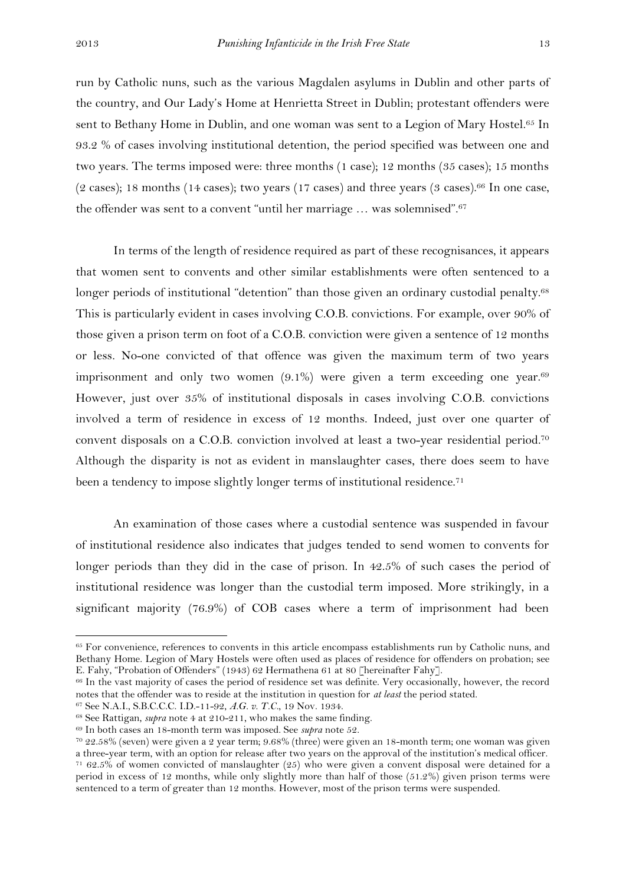1

run by Catholic nuns, such as the various Magdalen asylums in Dublin and other parts of the country, and Our Lady's Home at Henrietta Street in Dublin; protestant offenders were sent to Bethany Home in Dublin, and one woman was sent to a Legion of Mary Hostel.<sup>65</sup> In 93.2 % of cases involving institutional detention, the period specified was between one and two years. The terms imposed were: three months (1 case); 12 months (35 cases); 15 months  $(2 \text{ cases})$ ; 18 months (14 cases); two years (17 cases) and three years (3 cases).<sup>66</sup> In one case, the offender was sent to a convent "until her marriage … was solemnised".<sup>67</sup>

In terms of the length of residence required as part of these recognisances, it appears that women sent to convents and other similar establishments were often sentenced to a longer periods of institutional "detention" than those given an ordinary custodial penalty.<sup>68</sup> This is particularly evident in cases involving C.O.B. convictions. For example, over 90% of those given a prison term on foot of a C.O.B. conviction were given a sentence of 12 months or less. No-one convicted of that offence was given the maximum term of two years imprisonment and only two women  $(9.1\%)$  were given a term exceeding one year.<sup>69</sup> However, just over 35% of institutional disposals in cases involving C.O.B. convictions involved a term of residence in excess of 12 months. Indeed, just over one quarter of convent disposals on a C.O.B. conviction involved at least a two-year residential period. 70 Although the disparity is not as evident in manslaughter cases, there does seem to have been a tendency to impose slightly longer terms of institutional residence.<sup>71</sup>

An examination of those cases where a custodial sentence was suspended in favour of institutional residence also indicates that judges tended to send women to convents for longer periods than they did in the case of prison. In 42.5% of such cases the period of institutional residence was longer than the custodial term imposed. More strikingly, in a significant majority (76.9%) of COB cases where a term of imprisonment had been

<sup>&</sup>lt;sup>65</sup> For convenience, references to convents in this article encompass establishments run by Catholic nuns, and Bethany Home. Legion of Mary Hostels were often used as places of residence for offenders on probation; see E. Fahy, "Probation of Offenders" (1943) 62 Hermathena 61 at 80 [hereinafter Fahy].

<sup>&</sup>lt;sup>66</sup> In the vast majority of cases the period of residence set was definite. Very occasionally, however, the record notes that the offender was to reside at the institution in question for *at least* the period stated.

<sup>67</sup> See N.A.I., S.B.C.C.C. I.D.-11-92, *A.G. v. T.C.*, 19 Nov. 1934.

<sup>68</sup> See Rattigan, *supra* note 4 at 210-211, who makes the same finding.

<sup>69</sup> In both cases an 18-month term was imposed. See *supra* note 52.

<sup>70</sup> 22.58% (seven) were given a 2 year term; 9.68% (three) were given an 18-month term; one woman was given a three-year term, with an option for release after two years on the approval of the institution's medical officer.

<sup>71</sup> 62.5% of women convicted of manslaughter (25) who were given a convent disposal were detained for a period in excess of 12 months, while only slightly more than half of those (51.2%) given prison terms were sentenced to a term of greater than 12 months. However, most of the prison terms were suspended.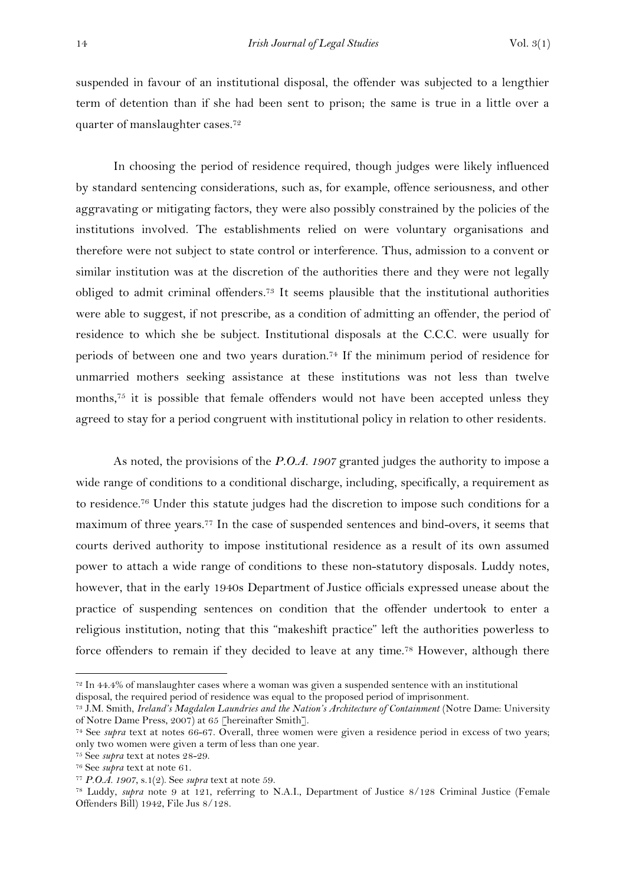suspended in favour of an institutional disposal, the offender was subjected to a lengthier term of detention than if she had been sent to prison; the same is true in a little over a quarter of manslaughter cases.<sup>72</sup>

In choosing the period of residence required, though judges were likely influenced by standard sentencing considerations, such as, for example, offence seriousness, and other aggravating or mitigating factors, they were also possibly constrained by the policies of the institutions involved. The establishments relied on were voluntary organisations and therefore were not subject to state control or interference. Thus, admission to a convent or similar institution was at the discretion of the authorities there and they were not legally obliged to admit criminal offenders. <sup>73</sup> It seems plausible that the institutional authorities were able to suggest, if not prescribe, as a condition of admitting an offender, the period of residence to which she be subject. Institutional disposals at the C.C.C. were usually for periods of between one and two years duration.<sup>74</sup> If the minimum period of residence for unmarried mothers seeking assistance at these institutions was not less than twelve months,<sup>75</sup> it is possible that female offenders would not have been accepted unless they agreed to stay for a period congruent with institutional policy in relation to other residents.

As noted, the provisions of the *P.O.A. 1907* granted judges the authority to impose a wide range of conditions to a conditional discharge, including, specifically, a requirement as to residence.<sup>76</sup> Under this statute judges had the discretion to impose such conditions for a maximum of three years.<sup>77</sup> In the case of suspended sentences and bind-overs, it seems that courts derived authority to impose institutional residence as a result of its own assumed power to attach a wide range of conditions to these non-statutory disposals. Luddy notes, however, that in the early 1940s Department of Justice officials expressed unease about the practice of suspending sentences on condition that the offender undertook to enter a religious institution, noting that this "makeshift practice" left the authorities powerless to force offenders to remain if they decided to leave at any time.<sup>78</sup> However, although there

 $72$  In 44.4% of manslaughter cases where a woman was given a suspended sentence with an institutional disposal, the required period of residence was equal to the proposed period of imprisonment.

<sup>73</sup> J.M. Smith, *Ireland's Magdalen Laundries and the Nation's Architecture of Containment* (Notre Dame: University of Notre Dame Press, 2007) at 65 [hereinafter Smith].

<sup>74</sup> See *supra* text at notes 66-67. Overall, three women were given a residence period in excess of two years; only two women were given a term of less than one year.

<sup>75</sup> See *supra* text at notes 28-29.

<sup>76</sup> See *supra* text at note 61.

<sup>77</sup> *P.O.A. 1907*, s.1(2). See *supra* text at note 59.

<sup>78</sup> Luddy, *supra* note 9 at 121, referring to N.A.I., Department of Justice 8/128 Criminal Justice (Female Offenders Bill) 1942, File Jus 8/128.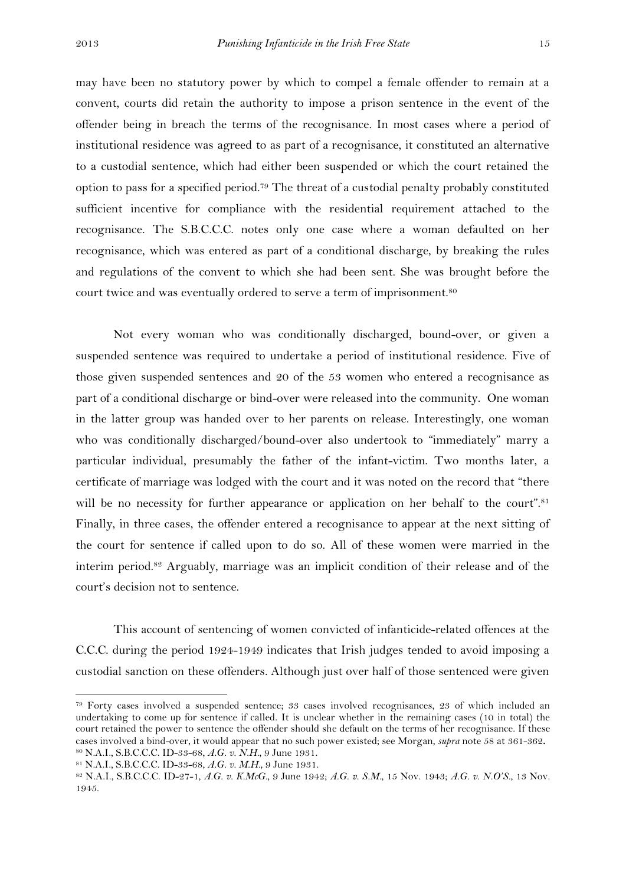may have been no statutory power by which to compel a female offender to remain at a convent, courts did retain the authority to impose a prison sentence in the event of the offender being in breach the terms of the recognisance. In most cases where a period of institutional residence was agreed to as part of a recognisance, it constituted an alternative to a custodial sentence, which had either been suspended or which the court retained the option to pass for a specified period.<sup>79</sup> The threat of a custodial penalty probably constituted sufficient incentive for compliance with the residential requirement attached to the recognisance. The S.B.C.C.C. notes only one case where a woman defaulted on her recognisance, which was entered as part of a conditional discharge, by breaking the rules and regulations of the convent to which she had been sent. She was brought before the court twice and was eventually ordered to serve a term of imprisonment.<sup>80</sup>

Not every woman who was conditionally discharged, bound-over, or given a suspended sentence was required to undertake a period of institutional residence. Five of those given suspended sentences and 20 of the 53 women who entered a recognisance as part of a conditional discharge or bind-over were released into the community. One woman in the latter group was handed over to her parents on release. Interestingly, one woman who was conditionally discharged/bound-over also undertook to "immediately" marry a particular individual, presumably the father of the infant-victim. Two months later, a certificate of marriage was lodged with the court and it was noted on the record that "there will be no necessity for further appearance or application on her behalf to the court".<sup>81</sup> Finally, in three cases, the offender entered a recognisance to appear at the next sitting of the court for sentence if called upon to do so. All of these women were married in the interim period.<sup>82</sup> Arguably, marriage was an implicit condition of their release and of the court's decision not to sentence.

This account of sentencing of women convicted of infanticide-related offences at the C.C.C. during the period 1924-1949 indicates that Irish judges tended to avoid imposing a custodial sanction on these offenders. Although just over half of those sentenced were given

 $\overline{a}$ 

<sup>79</sup> Forty cases involved a suspended sentence; 33 cases involved recognisances, 23 of which included an undertaking to come up for sentence if called. It is unclear whether in the remaining cases (10 in total) the court retained the power to sentence the offender should she default on the terms of her recognisance. If these cases involved a bind-over, it would appear that no such power existed; see Morgan, *supra* note 58 at 361-362**.** <sup>80</sup> N.A.I., S.B.C.C.C. ID-33-68, *A.G. v. N.H.*, 9 June 1931.

<sup>81</sup> N.A.I., S.B.C.C.C. ID-33-68, *A.G. v. M.H.*, 9 June 1931.

<sup>82</sup> N.A.I., S.B.C.C.C. ID-27-1, *A.G. v. K.McG.,* 9 June 1942; *A.G. v. S.M.*, 15 Nov. 1943; *A.G. v. N.O'S.*, 13 Nov. 1945.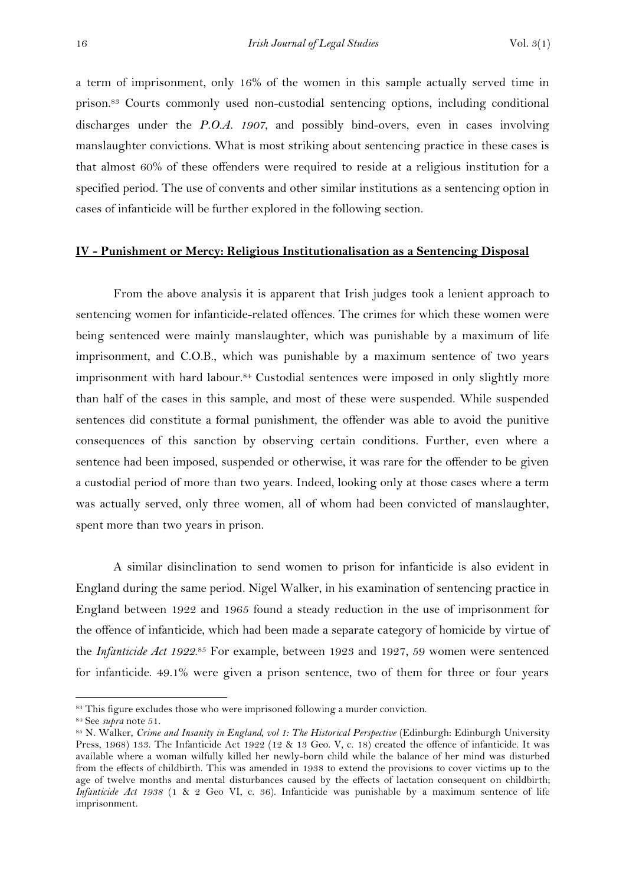a term of imprisonment, only 16% of the women in this sample actually served time in prison. <sup>83</sup> Courts commonly used non-custodial sentencing options, including conditional discharges under the *P.O.A. 1907*, and possibly bind-overs, even in cases involving manslaughter convictions. What is most striking about sentencing practice in these cases is that almost 60% of these offenders were required to reside at a religious institution for a specified period. The use of convents and other similar institutions as a sentencing option in cases of infanticide will be further explored in the following section.

#### **IV - Punishment or Mercy: Religious Institutionalisation as a Sentencing Disposal**

From the above analysis it is apparent that Irish judges took a lenient approach to sentencing women for infanticide-related offences. The crimes for which these women were being sentenced were mainly manslaughter, which was punishable by a maximum of life imprisonment, and C.O.B., which was punishable by a maximum sentence of two years imprisonment with hard labour.<sup>84</sup> Custodial sentences were imposed in only slightly more than half of the cases in this sample, and most of these were suspended. While suspended sentences did constitute a formal punishment, the offender was able to avoid the punitive consequences of this sanction by observing certain conditions. Further, even where a sentence had been imposed, suspended or otherwise, it was rare for the offender to be given a custodial period of more than two years. Indeed, looking only at those cases where a term was actually served, only three women, all of whom had been convicted of manslaughter, spent more than two years in prison.

A similar disinclination to send women to prison for infanticide is also evident in England during the same period. Nigel Walker, in his examination of sentencing practice in England between 1922 and 1965 found a steady reduction in the use of imprisonment for the offence of infanticide, which had been made a separate category of homicide by virtue of the *Infanticide Act 1922*.<sup>85</sup> For example, between 1923 and 1927, 59 women were sentenced for infanticide. 49.1% were given a prison sentence, two of them for three or four years

<sup>&</sup>lt;sup>83</sup> This figure excludes those who were imprisoned following a murder conviction.

<sup>84</sup> See *supra* note 51.

<sup>85</sup> N. Walker, *Crime and Insanity in England, vol 1: The Historical Perspective* (Edinburgh: Edinburgh University Press, 1968) 133. The Infanticide Act 1922 (12 & 13 Geo. V, c. 18) created the offence of infanticide. It was available where a woman wilfully killed her newly-born child while the balance of her mind was disturbed from the effects of childbirth. This was amended in 1938 to extend the provisions to cover victims up to the age of twelve months and mental disturbances caused by the effects of lactation consequent on childbirth; *Infanticide Act 1938* (1 & 2 Geo VI, c. 36). Infanticide was punishable by a maximum sentence of life imprisonment.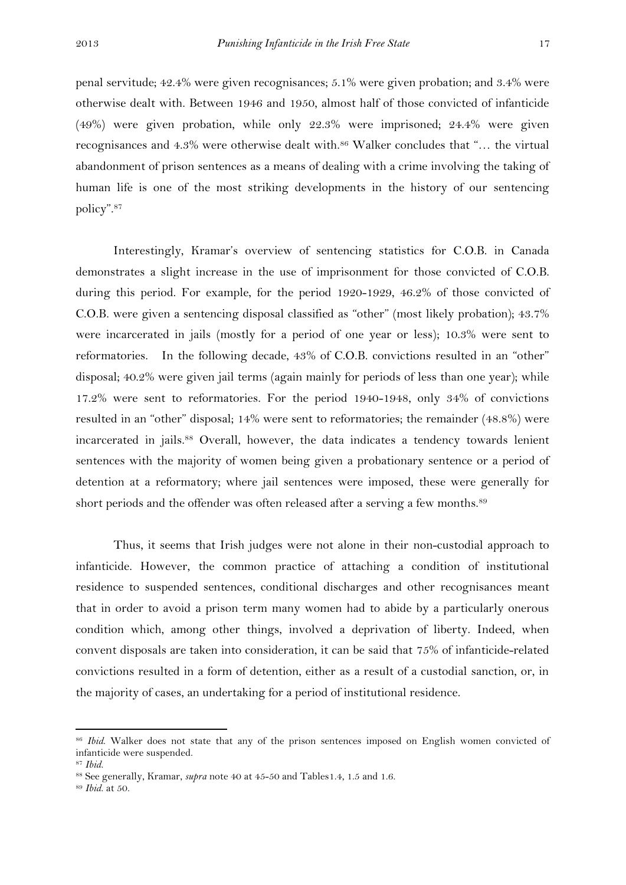penal servitude; 42.4% were given recognisances; 5.1% were given probation; and 3.4% were otherwise dealt with. Between 1946 and 1950, almost half of those convicted of infanticide (49%) were given probation, while only 22.3% were imprisoned; 24.4% were given recognisances and 4.3% were otherwise dealt with.<sup>86</sup> Walker concludes that "... the virtual abandonment of prison sentences as a means of dealing with a crime involving the taking of human life is one of the most striking developments in the history of our sentencing policy".<sup>87</sup>

Interestingly, Kramar's overview of sentencing statistics for C.O.B. in Canada demonstrates a slight increase in the use of imprisonment for those convicted of C.O.B. during this period. For example, for the period 1920-1929, 46.2% of those convicted of C.O.B. were given a sentencing disposal classified as "other" (most likely probation); 43.7% were incarcerated in jails (mostly for a period of one year or less); 10.3% were sent to reformatories. In the following decade, 43% of C.O.B. convictions resulted in an "other" disposal; 40.2% were given jail terms (again mainly for periods of less than one year); while 17.2% were sent to reformatories. For the period 1940-1948, only 34% of convictions resulted in an "other" disposal; 14% were sent to reformatories; the remainder (48.8%) were incarcerated in jails.<sup>88</sup> Overall, however, the data indicates a tendency towards lenient sentences with the majority of women being given a probationary sentence or a period of detention at a reformatory; where jail sentences were imposed, these were generally for short periods and the offender was often released after a serving a few months.<sup>89</sup>

Thus, it seems that Irish judges were not alone in their non-custodial approach to infanticide. However, the common practice of attaching a condition of institutional residence to suspended sentences, conditional discharges and other recognisances meant that in order to avoid a prison term many women had to abide by a particularly onerous condition which, among other things, involved a deprivation of liberty. Indeed, when convent disposals are taken into consideration, it can be said that 75% of infanticide-related convictions resulted in a form of detention, either as a result of a custodial sanction, or, in the majority of cases, an undertaking for a period of institutional residence.

 $\overline{a}$ 

<sup>86</sup> *Ibid*. Walker does not state that any of the prison sentences imposed on English women convicted of infanticide were suspended.

<sup>87</sup> *Ibid*.

<sup>88</sup> See generally, Kramar, *supra* note 40 at 45-50 and Tables1.4, 1.5 and 1.6.

<sup>89</sup> *Ibid*. at 50.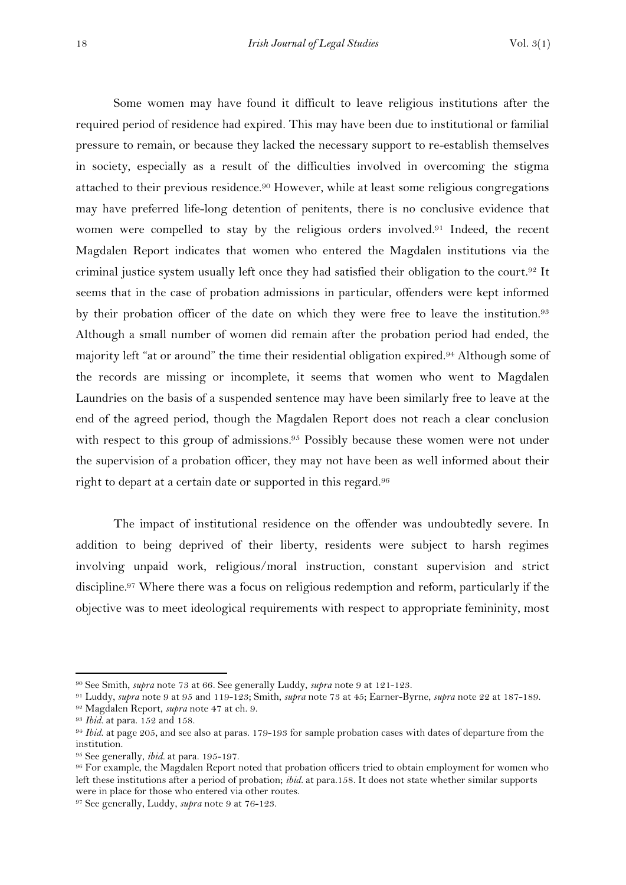Some women may have found it difficult to leave religious institutions after the required period of residence had expired. This may have been due to institutional or familial pressure to remain, or because they lacked the necessary support to re-establish themselves in society, especially as a result of the difficulties involved in overcoming the stigma attached to their previous residence.<sup>90</sup> However, while at least some religious congregations may have preferred life-long detention of penitents, there is no conclusive evidence that women were compelled to stay by the religious orders involved. <sup>91</sup> Indeed, the recent Magdalen Report indicates that women who entered the Magdalen institutions via the criminal justice system usually left once they had satisfied their obligation to the court. <sup>92</sup> It seems that in the case of probation admissions in particular, offenders were kept informed by their probation officer of the date on which they were free to leave the institution.<sup>93</sup> Although a small number of women did remain after the probation period had ended, the majority left "at or around" the time their residential obligation expired.<sup>94</sup> Although some of the records are missing or incomplete, it seems that women who went to Magdalen Laundries on the basis of a suspended sentence may have been similarly free to leave at the end of the agreed period, though the Magdalen Report does not reach a clear conclusion with respect to this group of admissions.<sup>95</sup> Possibly because these women were not under the supervision of a probation officer, they may not have been as well informed about their right to depart at a certain date or supported in this regard.<sup>96</sup>

The impact of institutional residence on the offender was undoubtedly severe. In addition to being deprived of their liberty, residents were subject to harsh regimes involving unpaid work, religious/moral instruction, constant supervision and strict discipline.<sup>97</sup> Where there was a focus on religious redemption and reform, particularly if the objective was to meet ideological requirements with respect to appropriate femininity, most

<sup>90</sup> See Smith, *supra* note 73 at 66. See generally Luddy, *supra* note 9 at 121-123.

<sup>91</sup> Luddy, *supra* note 9 at 95 and 119-123; Smith, *supra* note 73 at 45; Earner-Byrne, *supra* note 22 at 187-189.

<sup>92</sup> Magdalen Report, *supra* note 47 at ch. 9.

<sup>93</sup> *Ibid.* at para. 152 and 158.

<sup>94</sup> *Ibid*. at page 205, and see also at paras. 179-193 for sample probation cases with dates of departure from the institution.

<sup>95</sup> See generally, *ibid.* at para. 195-197.

<sup>&</sup>lt;sup>96</sup> For example, the Magdalen Report noted that probation officers tried to obtain employment for women who left these institutions after a period of probation; *ibid.* at para.158. It does not state whether similar supports were in place for those who entered via other routes.

<sup>97</sup> See generally, Luddy, *supra* note 9 at 76-123.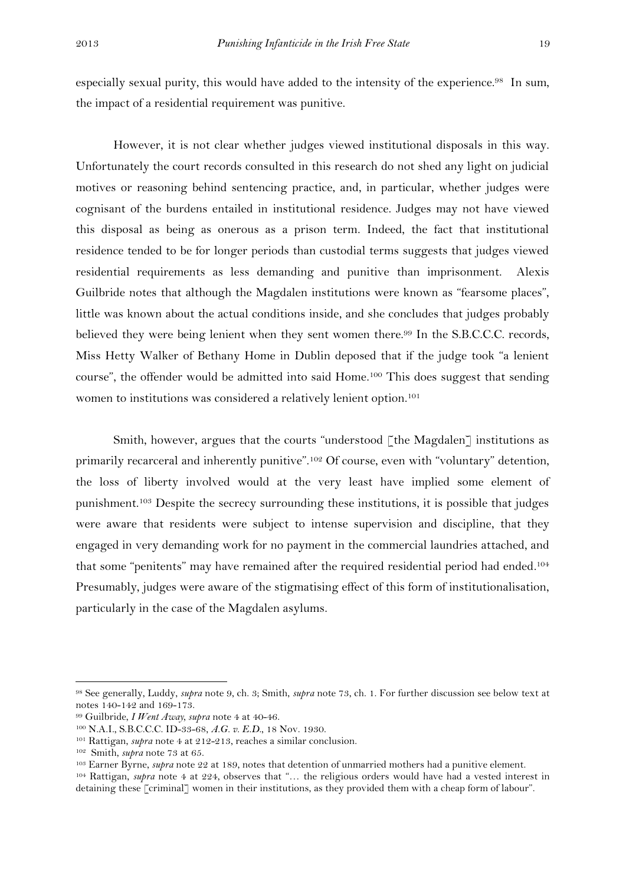especially sexual purity, this would have added to the intensity of the experience.<sup>98</sup> In sum, the impact of a residential requirement was punitive.

However, it is not clear whether judges viewed institutional disposals in this way. Unfortunately the court records consulted in this research do not shed any light on judicial motives or reasoning behind sentencing practice, and, in particular, whether judges were cognisant of the burdens entailed in institutional residence. Judges may not have viewed this disposal as being as onerous as a prison term. Indeed, the fact that institutional residence tended to be for longer periods than custodial terms suggests that judges viewed residential requirements as less demanding and punitive than imprisonment. Alexis Guilbride notes that although the Magdalen institutions were known as "fearsome places", little was known about the actual conditions inside, and she concludes that judges probably believed they were being lenient when they sent women there.<sup>99</sup> In the S.B.C.C.C. records, Miss Hetty Walker of Bethany Home in Dublin deposed that if the judge took "a lenient course", the offender would be admitted into said Home. <sup>100</sup> This does suggest that sending women to institutions was considered a relatively lenient option.<sup>101</sup>

Smith, however, argues that the courts "understood [the Magdalen] institutions as primarily recarceral and inherently punitive".<sup>102</sup> Of course, even with "voluntary" detention, the loss of liberty involved would at the very least have implied some element of punishment.<sup>103</sup> Despite the secrecy surrounding these institutions, it is possible that judges were aware that residents were subject to intense supervision and discipline, that they engaged in very demanding work for no payment in the commercial laundries attached, and that some "penitents" may have remained after the required residential period had ended.<sup>104</sup> Presumably, judges were aware of the stigmatising effect of this form of institutionalisation, particularly in the case of the Magdalen asylums.

<sup>98</sup> See generally, Luddy, *supra* note 9, ch. 3; Smith, *supra* note 73, ch. 1. For further discussion see below text at notes 140-142 and 169-173.

<sup>99</sup> Guilbride, *I Went Away, supra* note 4 at 40-46.

<sup>100</sup> N.A.I., S.B.C.C.C. ID-33-68, *A.G. v. E.D.*, 18 Nov. 1930.

<sup>101</sup> Rattigan, *supra* note 4 at 212-213, reaches a similar conclusion.

<sup>102</sup> Smith, *supra* note 73 at 65.

<sup>103</sup> Earner Byrne, *supra* note 22 at 189, notes that detention of unmarried mothers had a punitive element.

<sup>104</sup> Rattigan, *supra* note 4 at 224, observes that "… the religious orders would have had a vested interest in detaining these [criminal] women in their institutions, as they provided them with a cheap form of labour".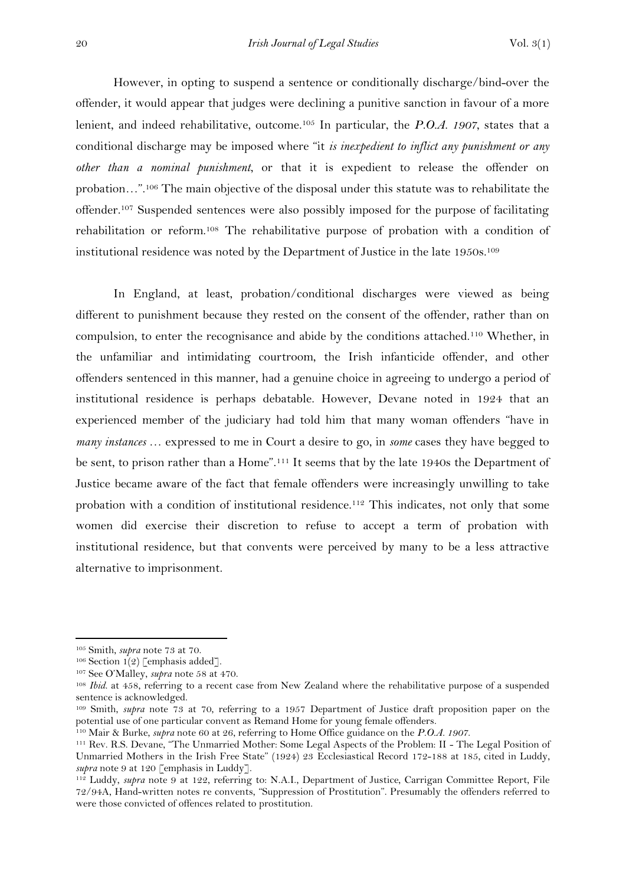However, in opting to suspend a sentence or conditionally discharge/bind-over the offender, it would appear that judges were declining a punitive sanction in favour of a more lenient, and indeed rehabilitative, outcome.<sup>105</sup> In particular, the *P.O.A. 1907*, states that a conditional discharge may be imposed where "it *is inexpedient to inflict any punishment or any other than a nominal punishment*, or that it is expedient to release the offender on probation…".<sup>106</sup> The main objective of the disposal under this statute was to rehabilitate the offender.<sup>107</sup> Suspended sentences were also possibly imposed for the purpose of facilitating rehabilitation or reform.<sup>108</sup> The rehabilitative purpose of probation with a condition of institutional residence was noted by the Department of Justice in the late 1950s.<sup>109</sup>

In England, at least, probation/conditional discharges were viewed as being different to punishment because they rested on the consent of the offender, rather than on compulsion, to enter the recognisance and abide by the conditions attached.<sup>110</sup> Whether, in the unfamiliar and intimidating courtroom, the Irish infanticide offender, and other offenders sentenced in this manner, had a genuine choice in agreeing to undergo a period of institutional residence is perhaps debatable. However, Devane noted in 1924 that an experienced member of the judiciary had told him that many woman offenders "have in *many instances* … expressed to me in Court a desire to go, in *some* cases they have begged to be sent, to prison rather than a Home".<sup>111</sup> It seems that by the late 1940s the Department of Justice became aware of the fact that female offenders were increasingly unwilling to take probation with a condition of institutional residence.<sup>112</sup> This indicates, not only that some women did exercise their discretion to refuse to accept a term of probation with institutional residence, but that convents were perceived by many to be a less attractive alternative to imprisonment.

<sup>105</sup> Smith, *supra* note 73 at 70.

<sup>&</sup>lt;sup>106</sup> Section 1(2) [emphasis added].

<sup>107</sup> See O'Malley, *supra* note 58 at 470.

<sup>&</sup>lt;sup>108</sup> *Ibid.* at 458, referring to a recent case from New Zealand where the rehabilitative purpose of a suspended sentence is acknowledged.

<sup>109</sup> Smith, *supra* note 73 at 70, referring to a 1957 Department of Justice draft proposition paper on the potential use of one particular convent as Remand Home for young female offenders.

<sup>110</sup> Mair & Burke, *supra* note 60 at 26, referring to Home Office guidance on the *P.O.A. 1907*.

<sup>111</sup> Rev. R.S. Devane, "The Unmarried Mother: Some Legal Aspects of the Problem: II - The Legal Position of Unmarried Mothers in the Irish Free State" (1924) 23 Ecclesiastical Record 172-188 at 185, cited in Luddy, *supra* note 9 at 120 [emphasis in Luddy].

<sup>112</sup> Luddy, *supra* note 9 at 122, referring to: N.A.I., Department of Justice, Carrigan Committee Report, File 72/94A, Hand-written notes re convents, "Suppression of Prostitution". Presumably the offenders referred to were those convicted of offences related to prostitution.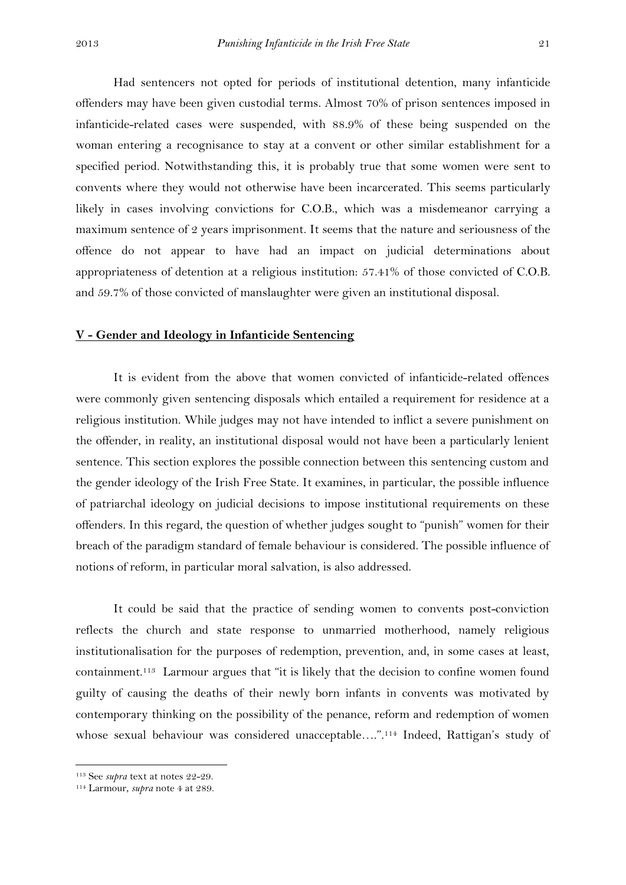Had sentencers not opted for periods of institutional detention, many infanticide offenders may have been given custodial terms. Almost 70% of prison sentences imposed in infanticide-related cases were suspended, with 88.9% of these being suspended on the woman entering a recognisance to stay at a convent or other similar establishment for a specified period. Notwithstanding this, it is probably true that some women were sent to convents where they would not otherwise have been incarcerated. This seems particularly likely in cases involving convictions for C.O.B., which was a misdemeanor carrying a maximum sentence of 2 years imprisonment. It seems that the nature and seriousness of the offence do not appear to have had an impact on judicial determinations about appropriateness of detention at a religious institution: 57.41% of those convicted of C.O.B. and 59.7% of those convicted of manslaughter were given an institutional disposal.

#### **V - Gender and Ideology in Infanticide Sentencing**

It is evident from the above that women convicted of infanticide-related offences were commonly given sentencing disposals which entailed a requirement for residence at a religious institution. While judges may not have intended to inflict a severe punishment on the offender, in reality, an institutional disposal would not have been a particularly lenient sentence. This section explores the possible connection between this sentencing custom and the gender ideology of the Irish Free State. It examines, in particular, the possible influence of patriarchal ideology on judicial decisions to impose institutional requirements on these offenders. In this regard, the question of whether judges sought to "punish" women for their breach of the paradigm standard of female behaviour is considered. The possible influence of notions of reform, in particular moral salvation, is also addressed.

It could be said that the practice of sending women to convents post-conviction reflects the church and state response to unmarried motherhood, namely religious institutionalisation for the purposes of redemption, prevention, and, in some cases at least, containment. <sup>113</sup> Larmour argues that "it is likely that the decision to confine women found guilty of causing the deaths of their newly born infants in convents was motivated by contemporary thinking on the possibility of the penance, reform and redemption of women whose sexual behaviour was considered unacceptable....".<sup>114</sup> Indeed, Rattigan's study of

<sup>113</sup> See *supra* text at notes 22-29.

<sup>114</sup> Larmour, *supra* note 4 at 289.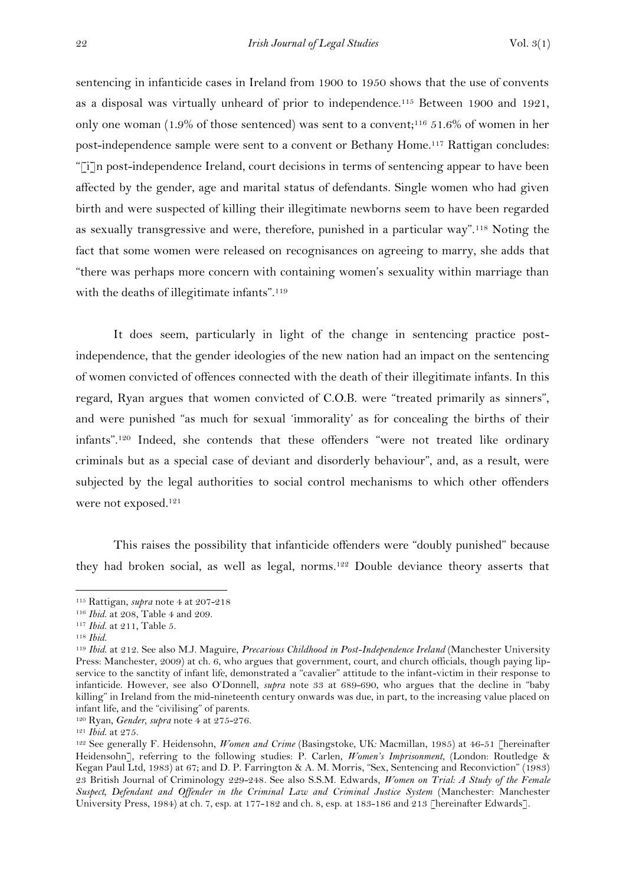sentencing in infanticide cases in Ireland from 1900 to 1950 shows that the use of convents as a disposal was virtually unheard of prior to independence.<sup>115</sup> Between 1900 and 1921, only one woman (1.9% of those sentenced) was sent to a convent; <sup>116</sup> 51.6% of women in her post-independence sample were sent to a convent or Bethany Home. <sup>117</sup> Rattigan concludes: "[i]n post-independence Ireland, court decisions in terms of sentencing appear to have been affected by the gender, age and marital status of defendants. Single women who had given birth and were suspected of killing their illegitimate newborns seem to have been regarded as sexually transgressive and were, therefore, punished in a particular way".<sup>118</sup> Noting the fact that some women were released on recognisances on agreeing to marry, she adds that "there was perhaps more concern with containing women's sexuality within marriage than with the deaths of illegitimate infants".<sup>119</sup>

It does seem, particularly in light of the change in sentencing practice postindependence, that the gender ideologies of the new nation had an impact on the sentencing of women convicted of offences connected with the death of their illegitimate infants. In this regard, Ryan argues that women convicted of C.O.B. were "treated primarily as sinners", and were punished "as much for sexual 'immorality' as for concealing the births of their infants".<sup>120</sup> Indeed, she contends that these offenders "were not treated like ordinary criminals but as a special case of deviant and disorderly behaviour", and, as a result, were subjected by the legal authorities to social control mechanisms to which other offenders were not exposed.<sup>121</sup>

This raises the possibility that infanticide offenders were "doubly punished" because they had broken social, as well as legal, norms. <sup>122</sup> Double deviance theory asserts that

<sup>115</sup> Rattigan, *supra* note 4 at 207-218

<sup>116</sup> *Ibid*. at 208, Table 4 and 209.

<sup>117</sup> *Ibid*. at 211, Table 5.

<sup>118</sup> *Ibid*.

<sup>119</sup> *Ibid*. at 212. See also M.J. Maguire, *Precarious Childhood in Post-Independence Ireland* (Manchester University Press: Manchester, 2009) at ch. 6, who argues that government, court, and church officials, though paying lipservice to the sanctity of infant life, demonstrated a "cavalier" attitude to the infant-victim in their response to infanticide. However, see also O'Donnell, *supra* note 33 at 689-690, who argues that the decline in "baby killing" in Ireland from the mid-nineteenth century onwards was due, in part, to the increasing value placed on infant life, and the "civilising" of parents.

<sup>120</sup> Ryan, *Gender, supra* note 4 at 275-276.

<sup>121</sup> *Ibid*. at 275.

<sup>122</sup> See generally F. Heidensohn, *Women and Crime* (Basingstoke, UK*:* Macmillan, 1985) at 46-51 [hereinafter Heidensohn], referring to the following studies: P. Carlen, *Women's Imprisonment*, (London: Routledge & Kegan Paul Ltd, 1983) at 67; and D. P. Farrington & A. M. Morris, "Sex, Sentencing and Reconviction" (1983) 23 British Journal of Criminology 229-248*.* See also S.S.M. Edwards, *Women on Trial: A Study of the Female Suspect, Defendant and Offender in the Criminal Law and Criminal Justice System* (Manchester: Manchester University Press, 1984) at ch. 7, esp. at 177-182 and ch. 8, esp. at 183-186 and 213 [hereinafter Edwards].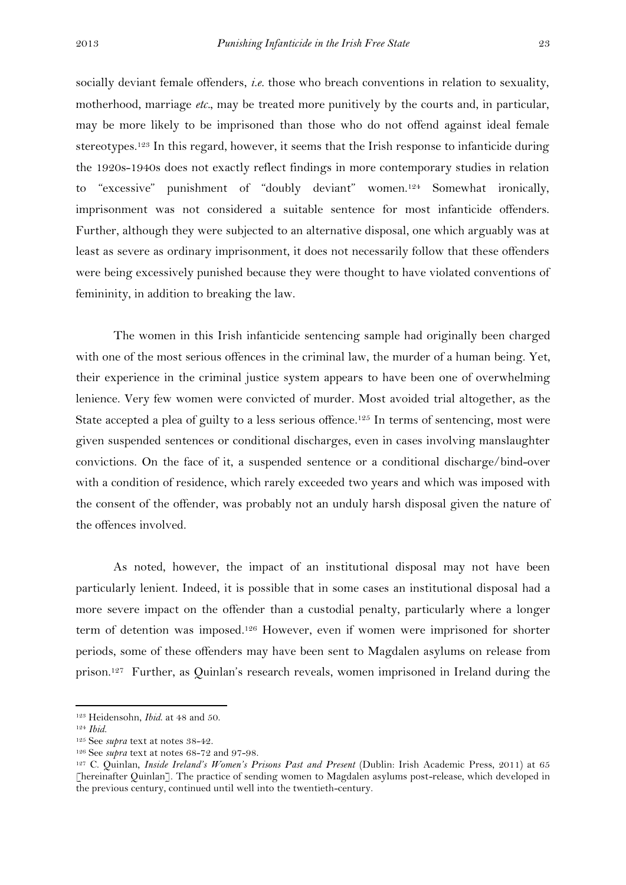socially deviant female offenders, *i.e.* those who breach conventions in relation to sexuality, motherhood, marriage *etc.*, may be treated more punitively by the courts and, in particular, may be more likely to be imprisoned than those who do not offend against ideal female stereotypes.<sup>123</sup> In this regard, however, it seems that the Irish response to infanticide during the 1920s-1940s does not exactly reflect findings in more contemporary studies in relation to "excessive" punishment of "doubly deviant" women. <sup>124</sup> Somewhat ironically, imprisonment was not considered a suitable sentence for most infanticide offenders. Further, although they were subjected to an alternative disposal, one which arguably was at least as severe as ordinary imprisonment, it does not necessarily follow that these offenders were being excessively punished because they were thought to have violated conventions of femininity, in addition to breaking the law.

The women in this Irish infanticide sentencing sample had originally been charged with one of the most serious offences in the criminal law, the murder of a human being. Yet, their experience in the criminal justice system appears to have been one of overwhelming lenience. Very few women were convicted of murder. Most avoided trial altogether, as the State accepted a plea of guilty to a less serious offence.<sup>125</sup> In terms of sentencing, most were given suspended sentences or conditional discharges, even in cases involving manslaughter convictions. On the face of it, a suspended sentence or a conditional discharge/bind-over with a condition of residence, which rarely exceeded two years and which was imposed with the consent of the offender, was probably not an unduly harsh disposal given the nature of the offences involved.

As noted, however, the impact of an institutional disposal may not have been particularly lenient. Indeed, it is possible that in some cases an institutional disposal had a more severe impact on the offender than a custodial penalty, particularly where a longer term of detention was imposed. <sup>126</sup> However, even if women were imprisoned for shorter periods, some of these offenders may have been sent to Magdalen asylums on release from prison. <sup>127</sup> Further, as Quinlan's research reveals, women imprisoned in Ireland during the

<sup>123</sup> Heidensohn, *Ibid*. at 48 and 50.

<sup>124</sup> *Ibid*.

<sup>125</sup> See *supra* text at notes 38-42.

<sup>126</sup> See *supra* text at notes 68-72 and 97-98.

<sup>&</sup>lt;sup>127</sup> C. Quinlan, *Inside Ireland's Women's Prisons Past and Present* (Dublin: Irish Academic Press, 2011) at 65 [hereinafter Quinlan]. The practice of sending women to Magdalen asylums post-release, which developed in the previous century, continued until well into the twentieth-century.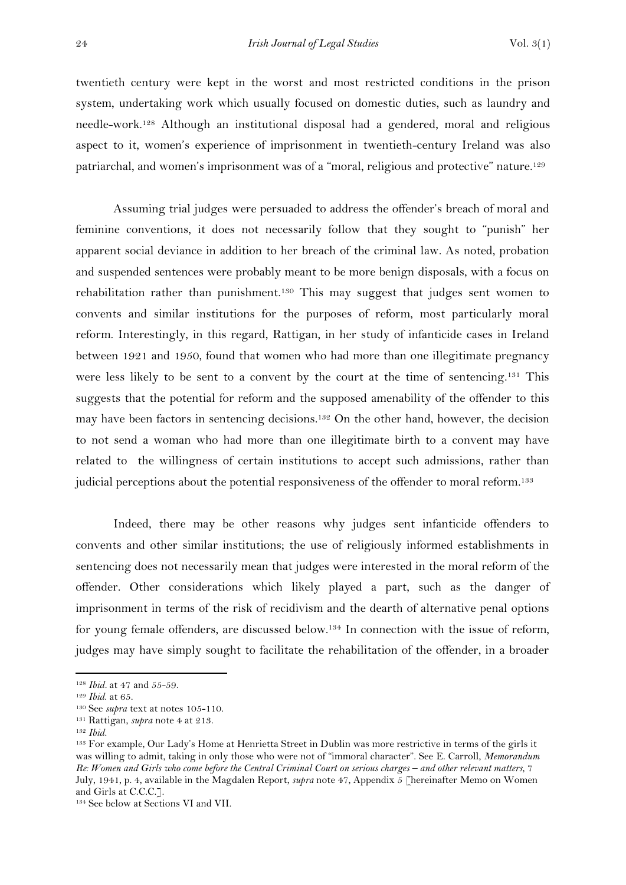twentieth century were kept in the worst and most restricted conditions in the prison system, undertaking work which usually focused on domestic duties, such as laundry and needle-work.<sup>128</sup> Although an institutional disposal had a gendered, moral and religious aspect to it, women's experience of imprisonment in twentieth-century Ireland was also patriarchal, and women's imprisonment was of a "moral, religious and protective" nature.<sup>129</sup>

Assuming trial judges were persuaded to address the offender's breach of moral and feminine conventions, it does not necessarily follow that they sought to "punish" her apparent social deviance in addition to her breach of the criminal law. As noted, probation and suspended sentences were probably meant to be more benign disposals, with a focus on rehabilitation rather than punishment.<sup>130</sup> This may suggest that judges sent women to convents and similar institutions for the purposes of reform, most particularly moral reform. Interestingly, in this regard, Rattigan, in her study of infanticide cases in Ireland between 1921 and 1950, found that women who had more than one illegitimate pregnancy were less likely to be sent to a convent by the court at the time of sentencing.<sup>131</sup> This suggests that the potential for reform and the supposed amenability of the offender to this may have been factors in sentencing decisions.<sup>132</sup> On the other hand, however, the decision to not send a woman who had more than one illegitimate birth to a convent may have related to the willingness of certain institutions to accept such admissions, rather than judicial perceptions about the potential responsiveness of the offender to moral reform. 133

Indeed, there may be other reasons why judges sent infanticide offenders to convents and other similar institutions; the use of religiously informed establishments in sentencing does not necessarily mean that judges were interested in the moral reform of the offender. Other considerations which likely played a part, such as the danger of imprisonment in terms of the risk of recidivism and the dearth of alternative penal options for young female offenders, are discussed below.<sup>134</sup> In connection with the issue of reform, judges may have simply sought to facilitate the rehabilitation of the offender, in a broader

1

<sup>134</sup> See below at Sections VI and VII.

<sup>128</sup> *Ibid.* at 47 and 55-59.

<sup>129</sup> *Ibid*. at 65.

<sup>130</sup> See *supra* text at notes 105-110.

<sup>131</sup> Rattigan, *supra* note 4 at 213.

<sup>132</sup> *Ibid.*

<sup>133</sup> For example, Our Lady's Home at Henrietta Street in Dublin was more restrictive in terms of the girls it was willing to admit, taking in only those who were not of "immoral character". See E. Carroll, *Memorandum Re: Women and Girls who come before the Central Criminal Court on serious charges – and other relevant matters*, 7 July, 1941, p. 4, available in the Magdalen Report, *supra* note 47, Appendix 5 [hereinafter Memo on Women and Girls at C.C.C.].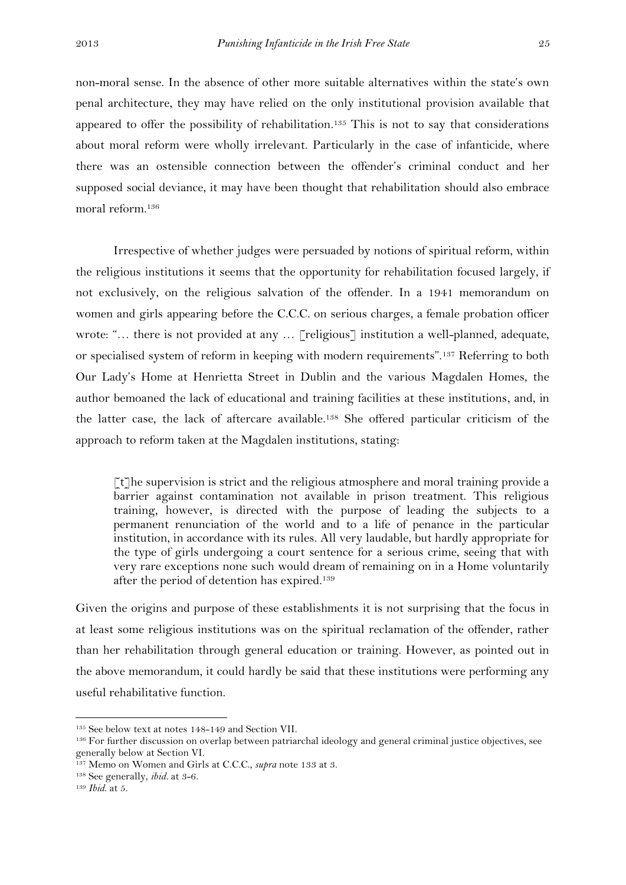non-moral sense. In the absence of other more suitable alternatives within the state's own penal architecture, they may have relied on the only institutional provision available that appeared to offer the possibility of rehabilitation. <sup>135</sup> This is not to say that considerations about moral reform were wholly irrelevant. Particularly in the case of infanticide, where there was an ostensible connection between the offender's criminal conduct and her supposed social deviance, it may have been thought that rehabilitation should also embrace moral reform.<sup>136</sup>

Irrespective of whether judges were persuaded by notions of spiritual reform, within the religious institutions it seems that the opportunity for rehabilitation focused largely, if not exclusively, on the religious salvation of the offender. In a 1941 memorandum on women and girls appearing before the C.C.C. on serious charges, a female probation officer wrote: "... there is not provided at any ... [religious] institution a well-planned, adequate, or specialised system of reform in keeping with modern requirements".<sup>137</sup> Referring to both Our Lady's Home at Henrietta Street in Dublin and the various Magdalen Homes, the author bemoaned the lack of educational and training facilities at these institutions, and, in the latter case, the lack of aftercare available. <sup>138</sup> She offered particular criticism of the approach to reform taken at the Magdalen institutions, stating:

 $\lceil \tau \rceil$ he supervision is strict and the religious atmosphere and moral training provide a barrier against contamination not available in prison treatment. This religious training, however, is directed with the purpose of leading the subjects to a permanent renunciation of the world and to a life of penance in the particular institution, in accordance with its rules. All very laudable, but hardly appropriate for the type of girls undergoing a court sentence for a serious crime, seeing that with very rare exceptions none such would dream of remaining on in a Home voluntarily after the period of detention has expired. 139

Given the origins and purpose of these establishments it is not surprising that the focus in at least some religious institutions was on the spiritual reclamation of the offender, rather than her rehabilitation through general education or training. However, as pointed out in the above memorandum, it could hardly be said that these institutions were performing any useful rehabilitative function.

<sup>135</sup> See below text at notes 148-149 and Section VII.

<sup>&</sup>lt;sup>136</sup> For further discussion on overlap between patriarchal ideology and general criminal justice objectives, see generally below at Section VI.

<sup>137</sup> Memo on Women and Girls at C.C.C., *supra* note 133 at 3.

<sup>138</sup> See generally, *ibid.* at 3-6.

<sup>139</sup> *Ibid*. at 5.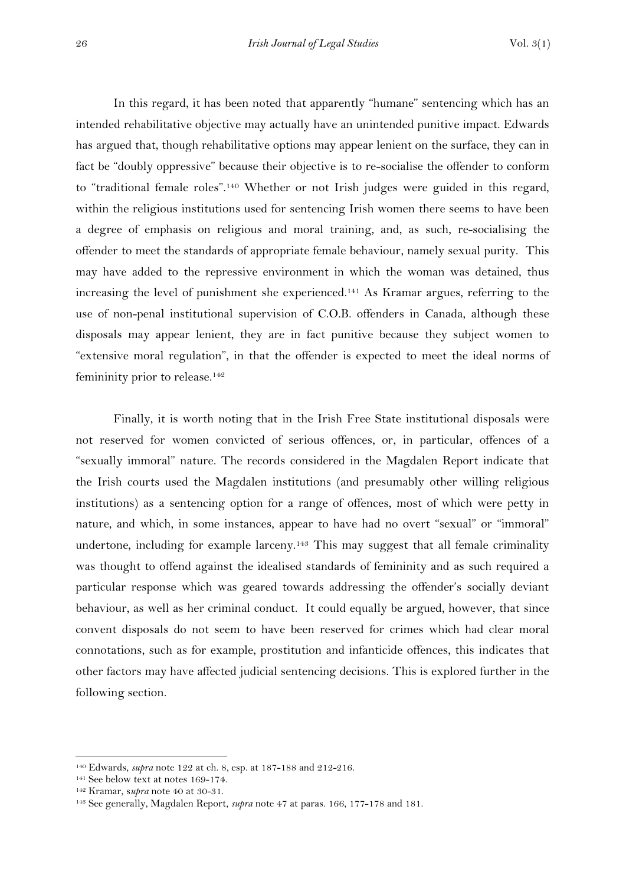In this regard, it has been noted that apparently "humane" sentencing which has an intended rehabilitative objective may actually have an unintended punitive impact. Edwards has argued that, though rehabilitative options may appear lenient on the surface, they can in fact be "doubly oppressive" because their objective is to re-socialise the offender to conform to "traditional female roles".<sup>140</sup> Whether or not Irish judges were guided in this regard, within the religious institutions used for sentencing Irish women there seems to have been a degree of emphasis on religious and moral training, and, as such, re-socialising the offender to meet the standards of appropriate female behaviour, namely sexual purity. This may have added to the repressive environment in which the woman was detained, thus increasing the level of punishment she experienced. <sup>141</sup> As Kramar argues, referring to the use of non-penal institutional supervision of C.O.B. offenders in Canada, although these disposals may appear lenient, they are in fact punitive because they subject women to "extensive moral regulation", in that the offender is expected to meet the ideal norms of femininity prior to release.<sup>142</sup>

Finally, it is worth noting that in the Irish Free State institutional disposals were not reserved for women convicted of serious offences, or, in particular, offences of a "sexually immoral" nature. The records considered in the Magdalen Report indicate that the Irish courts used the Magdalen institutions (and presumably other willing religious institutions) as a sentencing option for a range of offences, most of which were petty in nature, and which, in some instances, appear to have had no overt "sexual" or "immoral" undertone, including for example larceny.<sup>143</sup> This may suggest that all female criminality was thought to offend against the idealised standards of femininity and as such required a particular response which was geared towards addressing the offender's socially deviant behaviour, as well as her criminal conduct. It could equally be argued, however, that since convent disposals do not seem to have been reserved for crimes which had clear moral connotations, such as for example, prostitution and infanticide offences, this indicates that other factors may have affected judicial sentencing decisions. This is explored further in the following section.

<sup>140</sup> Edwards, *supra* note 122 at ch. 8, esp. at 187-188 and 212-216.

<sup>141</sup> See below text at notes 169-174.

<sup>142</sup> Kramar, s*upra* note 40 at 30-31.

<sup>143</sup> See generally, Magdalen Report, *supra* note 47 at paras. 166, 177-178 and 181.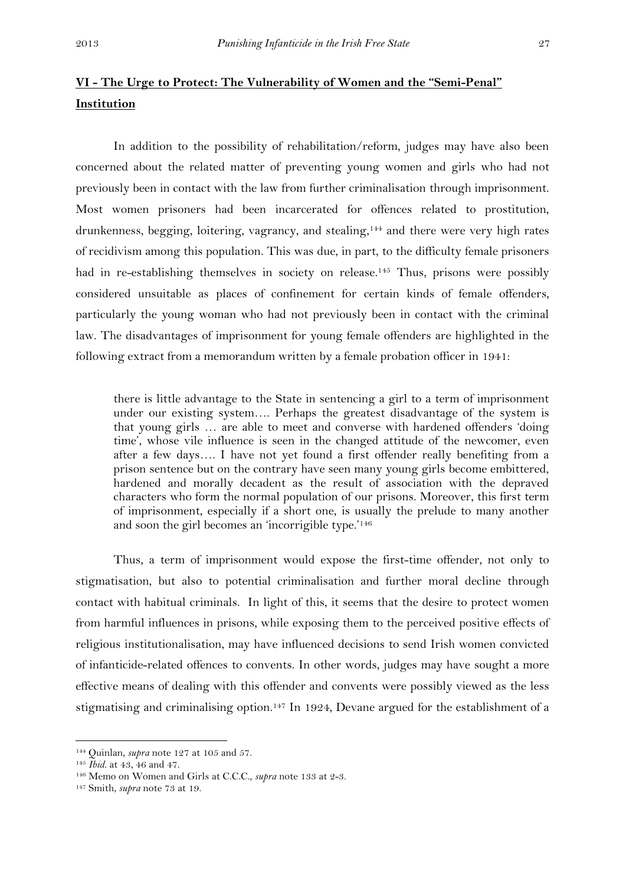# **VI - The Urge to Protect: The Vulnerability of Women and the "Semi-Penal" Institution**

In addition to the possibility of rehabilitation/reform, judges may have also been concerned about the related matter of preventing young women and girls who had not previously been in contact with the law from further criminalisation through imprisonment. Most women prisoners had been incarcerated for offences related to prostitution, drunkenness, begging, loitering, vagrancy, and stealing, <sup>144</sup> and there were very high rates of recidivism among this population. This was due, in part, to the difficulty female prisoners had in re-establishing themselves in society on release. <sup>145</sup> Thus, prisons were possibly considered unsuitable as places of confinement for certain kinds of female offenders, particularly the young woman who had not previously been in contact with the criminal law. The disadvantages of imprisonment for young female offenders are highlighted in the following extract from a memorandum written by a female probation officer in 1941:

there is little advantage to the State in sentencing a girl to a term of imprisonment under our existing system…. Perhaps the greatest disadvantage of the system is that young girls … are able to meet and converse with hardened offenders 'doing time', whose vile influence is seen in the changed attitude of the newcomer, even after a few days…. I have not yet found a first offender really benefiting from a prison sentence but on the contrary have seen many young girls become embittered, hardened and morally decadent as the result of association with the depraved characters who form the normal population of our prisons. Moreover, this first term of imprisonment, especially if a short one, is usually the prelude to many another and soon the girl becomes an 'incorrigible type.'<sup>146</sup>

Thus, a term of imprisonment would expose the first-time offender, not only to stigmatisation, but also to potential criminalisation and further moral decline through contact with habitual criminals. In light of this, it seems that the desire to protect women from harmful influences in prisons, while exposing them to the perceived positive effects of religious institutionalisation, may have influenced decisions to send Irish women convicted of infanticide-related offences to convents. In other words, judges may have sought a more effective means of dealing with this offender and convents were possibly viewed as the less stigmatising and criminalising option.<sup>147</sup> In 1924, Devane argued for the establishment of a

<sup>144</sup> Quinlan, *supra* note 127 at 105 and 57.

<sup>145</sup> *Ibid*. at 43, 46 and 47.

<sup>146</sup> Memo on Women and Girls at C.C.C., *supra* note 133 at 2-3.

<sup>147</sup> Smith, *supra* note 73 at 19.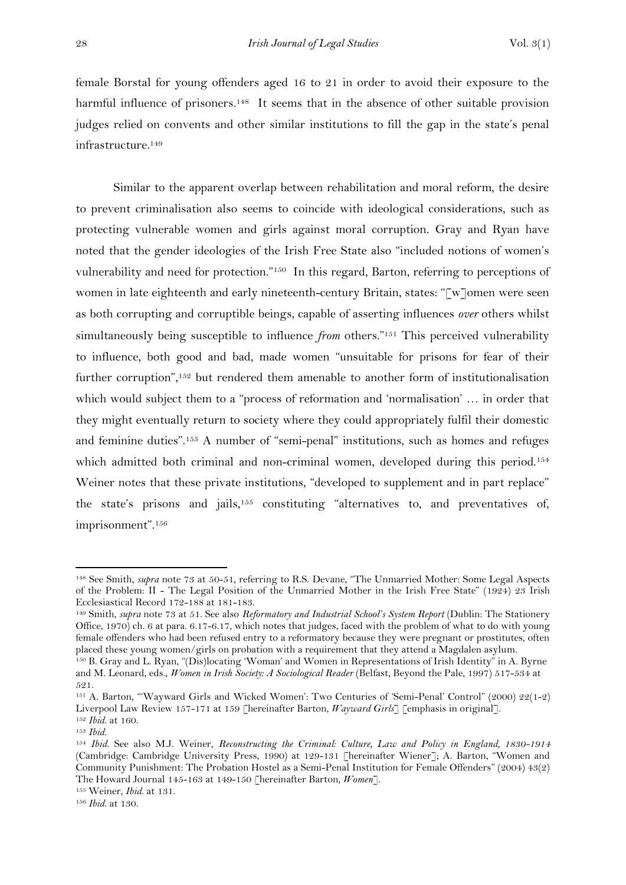female Borstal for young offenders aged 16 to 21 in order to avoid their exposure to the harmful influence of prisoners.<sup>148</sup> It seems that in the absence of other suitable provision judges relied on convents and other similar institutions to fill the gap in the state's penal infrastructure. 149

Similar to the apparent overlap between rehabilitation and moral reform, the desire to prevent criminalisation also seems to coincide with ideological considerations, such as protecting vulnerable women and girls against moral corruption. Gray and Ryan have noted that the gender ideologies of the Irish Free State also "included notions of women's vulnerability and need for protection."<sup>150</sup> In this regard, Barton, referring to perceptions of women in late eighteenth and early nineteenth-century Britain, states: "[w]omen were seen as both corrupting and corruptible beings, capable of asserting influences *over* others whilst simultaneously being susceptible to influence *from* others."<sup>151</sup> This perceived vulnerability to influence, both good and bad, made women "unsuitable for prisons for fear of their further corruption",<sup>152</sup> but rendered them amenable to another form of institutionalisation which would subject them to a "process of reformation and 'normalisation' … in order that they might eventually return to society where they could appropriately fulfil their domestic and feminine duties".<sup>153</sup> A number of "semi-penal" institutions, such as homes and refuges which admitted both criminal and non-criminal women, developed during this period.<sup>154</sup> Weiner notes that these private institutions, "developed to supplement and in part replace" the state's prisons and jails,<sup>155</sup> constituting "alternatives to, and preventatives of, imprisonment".<sup>156</sup>

<sup>&</sup>lt;sup>148</sup> See Smith, *supra* note 73 at 50-51, referring to R.S. Devane, "The Unmarried Mother: Some Legal Aspects of the Problem: II - The Legal Position of the Unmarried Mother in the Irish Free State" (1924) 23 Irish Ecclesiastical Record 172-188 at 181-183.

<sup>&</sup>lt;sup>149</sup> Smith, *supra* note 73 at 51. See also *Reformatory and Industrial School's System Report* (Dublin: The Stationery Office, 1970) ch. 6 at para. 6.17-6.17, which notes that judges, faced with the problem of what to do with young female offenders who had been refused entry to a reformatory because they were pregnant or prostitutes, often placed these young women/girls on probation with a requirement that they attend a Magdalen asylum.

<sup>150</sup> B. Gray and L. Ryan, "(Dis)locating 'Woman' and Women in Representations of Irish Identity" in A. Byrne and M. Leonard, eds., *Women in Irish Society: A Sociological Reader* (Belfast, Beyond the Pale, 1997) 517-534 at 521.

<sup>151</sup> A. Barton, "'Wayward Girls and Wicked Women': Two Centuries of 'Semi-Penal' Control" (2000) 22(1-2) Liverpool Law Review 157-171 at 159 [hereinafter Barton*, Wayward Girls*] [emphasis in original]. <sup>152</sup> *Ibid*. at 160.

<sup>153</sup> *Ibid*.

<sup>154</sup> *Ibid*. See also M.J. Weiner, *Reconstructing the Criminal: Culture, Law and Policy in England, 1830-1914*  (Cambridge: Cambridge University Press, 1990) at 129-131 [hereinafter Wiener]; A. Barton, "Women and Community Punishment: The Probation Hostel as a Semi-Penal Institution for Female Offenders" (2004) 43(2) The Howard Journal 145-163 at 149-150 [hereinafter Barton*, Women*].

<sup>155</sup> Weiner, *Ibid*. at 131.

<sup>156</sup> *Ibid*. at 130.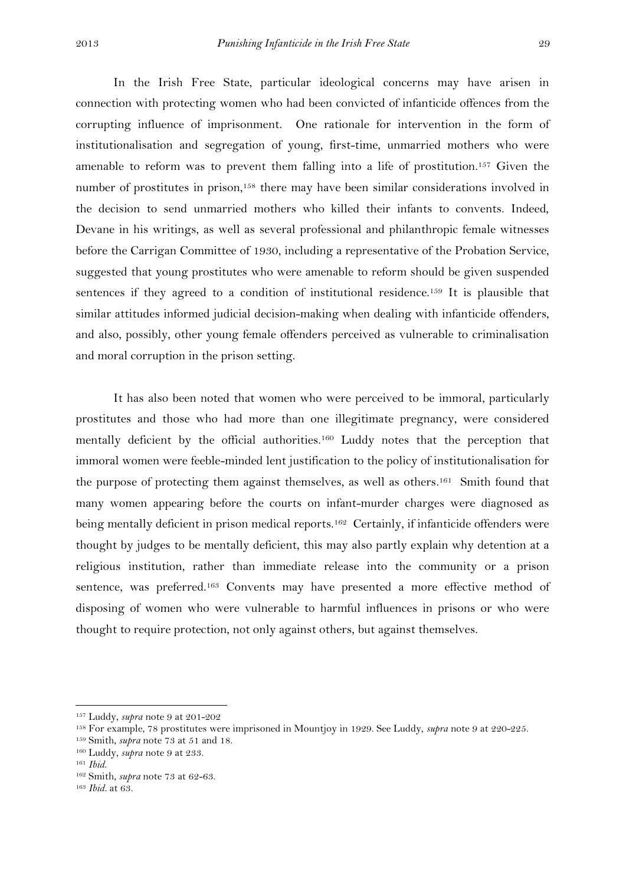In the Irish Free State, particular ideological concerns may have arisen in connection with protecting women who had been convicted of infanticide offences from the corrupting influence of imprisonment. One rationale for intervention in the form of institutionalisation and segregation of young, first-time, unmarried mothers who were amenable to reform was to prevent them falling into a life of prostitution.<sup>157</sup> Given the number of prostitutes in prison,<sup>158</sup> there may have been similar considerations involved in the decision to send unmarried mothers who killed their infants to convents. Indeed, Devane in his writings, as well as several professional and philanthropic female witnesses before the Carrigan Committee of 1930, including a representative of the Probation Service, suggested that young prostitutes who were amenable to reform should be given suspended sentences if they agreed to a condition of institutional residence.<sup>159</sup> It is plausible that similar attitudes informed judicial decision-making when dealing with infanticide offenders, and also, possibly, other young female offenders perceived as vulnerable to criminalisation and moral corruption in the prison setting.

It has also been noted that women who were perceived to be immoral, particularly prostitutes and those who had more than one illegitimate pregnancy, were considered mentally deficient by the official authorities.<sup>160</sup> Luddy notes that the perception that immoral women were feeble-minded lent justification to the policy of institutionalisation for the purpose of protecting them against themselves, as well as others. <sup>161</sup> Smith found that many women appearing before the courts on infant-murder charges were diagnosed as being mentally deficient in prison medical reports.<sup>162</sup> Certainly, if infanticide offenders were thought by judges to be mentally deficient, this may also partly explain why detention at a religious institution, rather than immediate release into the community or a prison sentence, was preferred. <sup>163</sup> Convents may have presented a more effective method of disposing of women who were vulnerable to harmful influences in prisons or who were thought to require protection, not only against others, but against themselves.

<sup>157</sup> Luddy, *supra* note 9 at 201-202

<sup>158</sup> For example, 78 prostitutes were imprisoned in Mountjoy in 1929. See Luddy, *supra* note 9 at 220-225.

<sup>159</sup> Smith, *supra* note 73 at 51 and 18.

<sup>160</sup> Luddy, *supra* note 9 at 233.

<sup>161</sup> *Ibid*.

<sup>162</sup> Smith, *supra* note 73 at 62-63.

<sup>163</sup> *Ibid.* at 63.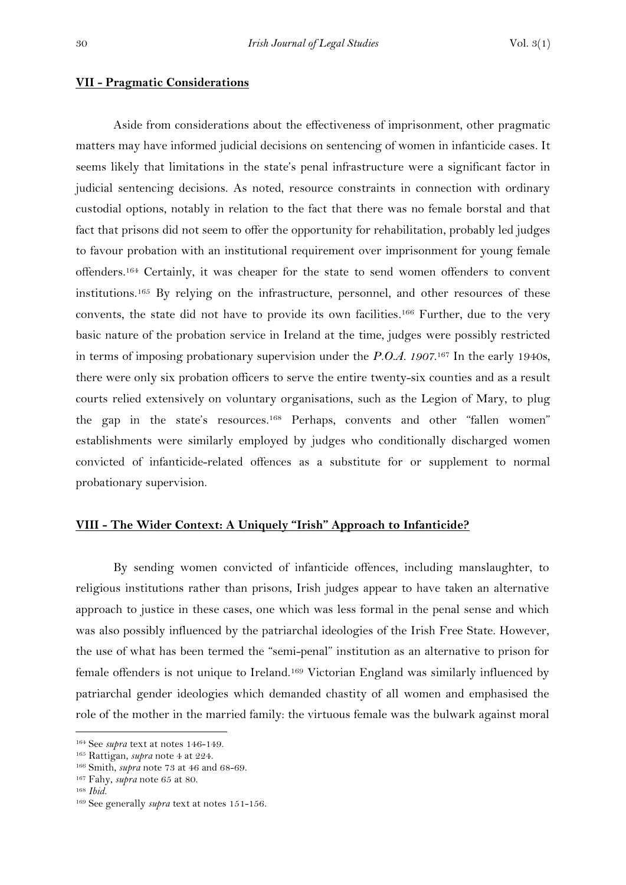#### **VII - Pragmatic Considerations**

Aside from considerations about the effectiveness of imprisonment, other pragmatic matters may have informed judicial decisions on sentencing of women in infanticide cases. It seems likely that limitations in the state's penal infrastructure were a significant factor in judicial sentencing decisions. As noted, resource constraints in connection with ordinary custodial options, notably in relation to the fact that there was no female borstal and that fact that prisons did not seem to offer the opportunity for rehabilitation, probably led judges to favour probation with an institutional requirement over imprisonment for young female offenders. <sup>164</sup> Certainly, it was cheaper for the state to send women offenders to convent institutions. <sup>165</sup> By relying on the infrastructure, personnel, and other resources of these convents, the state did not have to provide its own facilities. <sup>166</sup> Further, due to the very basic nature of the probation service in Ireland at the time, judges were possibly restricted in terms of imposing probationary supervision under the *P.O.A.* 1907.<sup>167</sup> In the early 1940s, there were only six probation officers to serve the entire twenty-six counties and as a result courts relied extensively on voluntary organisations, such as the Legion of Mary, to plug the gap in the state's resources. <sup>168</sup> Perhaps, convents and other "fallen women" establishments were similarly employed by judges who conditionally discharged women convicted of infanticide-related offences as a substitute for or supplement to normal probationary supervision.

## **VIII - The Wider Context: A Uniquely "Irish" Approach to Infanticide?**

By sending women convicted of infanticide offences, including manslaughter, to religious institutions rather than prisons, Irish judges appear to have taken an alternative approach to justice in these cases, one which was less formal in the penal sense and which was also possibly influenced by the patriarchal ideologies of the Irish Free State. However, the use of what has been termed the "semi-penal" institution as an alternative to prison for female offenders is not unique to Ireland.<sup>169</sup> Victorian England was similarly influenced by patriarchal gender ideologies which demanded chastity of all women and emphasised the role of the mother in the married family: the virtuous female was the bulwark against moral

<sup>164</sup> See *supra* text at notes 146-149.

<sup>165</sup> Rattigan, *supra* note 4 at 224.

<sup>166</sup> Smith, *supra* note 73 at 46 and 68-69.

<sup>167</sup> Fahy, *supra* note 65 at 80.

<sup>168</sup> *Ibid*.

<sup>169</sup> See generally *supra* text at notes 151-156.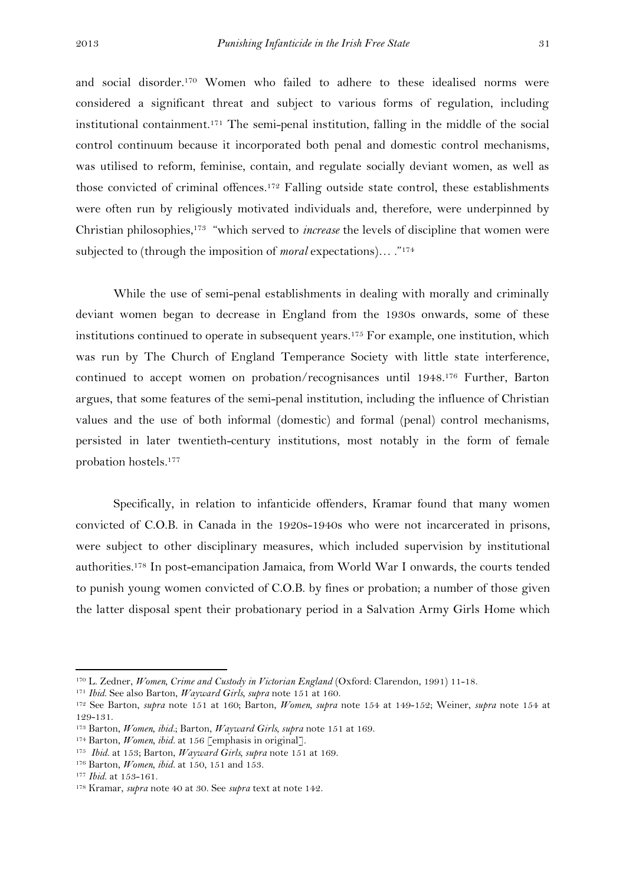and social disorder. <sup>170</sup> Women who failed to adhere to these idealised norms were considered a significant threat and subject to various forms of regulation, including institutional containment. <sup>171</sup> The semi-penal institution, falling in the middle of the social control continuum because it incorporated both penal and domestic control mechanisms, was utilised to reform, feminise, contain, and regulate socially deviant women, as well as those convicted of criminal offences.<sup>172</sup> Falling outside state control, these establishments were often run by religiously motivated individuals and, therefore, were underpinned by Christian philosophies, <sup>173</sup> "which served to *increase* the levels of discipline that women were subjected to (through the imposition of *moral* expectations)… ." 174

While the use of semi-penal establishments in dealing with morally and criminally deviant women began to decrease in England from the 1930s onwards, some of these institutions continued to operate in subsequent years. <sup>175</sup> For example, one institution, which was run by The Church of England Temperance Society with little state interference, continued to accept women on probation/recognisances until 1948. <sup>176</sup> Further, Barton argues, that some features of the semi-penal institution, including the influence of Christian values and the use of both informal (domestic) and formal (penal) control mechanisms, persisted in later twentieth-century institutions, most notably in the form of female probation hostels. 177

Specifically, in relation to infanticide offenders, Kramar found that many women convicted of C.O.B. in Canada in the 1920s-1940s who were not incarcerated in prisons, were subject to other disciplinary measures, which included supervision by institutional authorities.<sup>178</sup> In post-emancipation Jamaica, from World War I onwards, the courts tended to punish young women convicted of C.O.B. by fines or probation; a number of those given the latter disposal spent their probationary period in a Salvation Army Girls Home which

<sup>170</sup> L. Zedner, *Women, Crime and Custody in Victorian England* (Oxford: Clarendon, 1991) 11-18.

<sup>171</sup> *Ibid*. See also Barton, *Wayward Girls, supra* note 151 at 160.

<sup>172</sup> See Barton, *supra* note 151 at 160; Barton, *Women, supra* note 154 at 149-152; Weiner, *supra* note 154 at 129-131.

<sup>173</sup> Barton, *Women, ibid.*; Barton, *Wayward Girls, supra* note 151 at 169.

<sup>&</sup>lt;sup>174</sup> Barton, *Women, ibid.* at 156 [emphasis in original].

<sup>175</sup> *Ibid.* at 153; Barton, *Wayward Girls, supra* note 151 at 169.

<sup>176</sup> Barton, *Women, ibid.* at 150, 151 and 153.

<sup>177</sup> *Ibid*. at 153-161.

<sup>178</sup> Kramar, *supra* note 40 at 30. See *supra* text at note 142.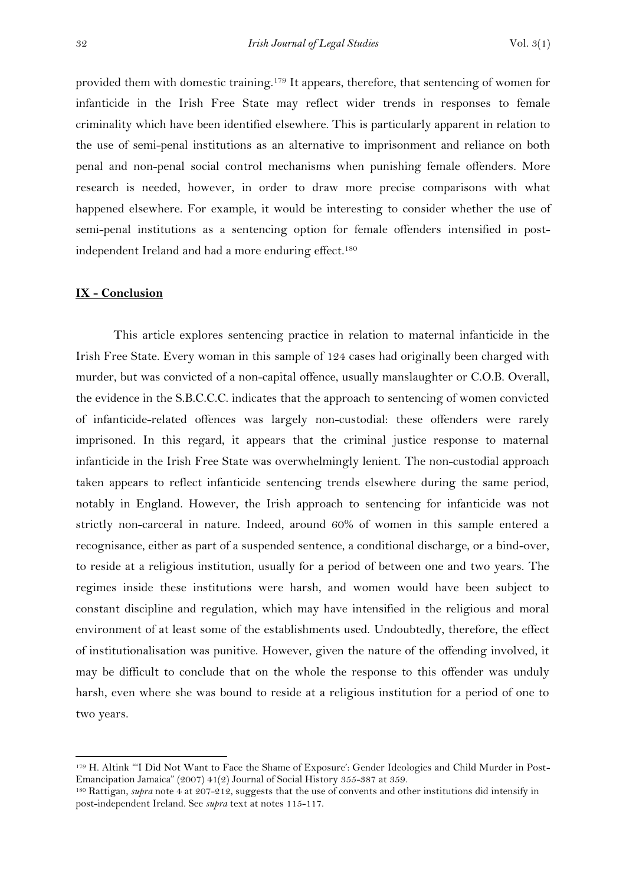provided them with domestic training.<sup>179</sup> It appears, therefore, that sentencing of women for infanticide in the Irish Free State may reflect wider trends in responses to female criminality which have been identified elsewhere. This is particularly apparent in relation to the use of semi-penal institutions as an alternative to imprisonment and reliance on both penal and non-penal social control mechanisms when punishing female offenders. More research is needed, however, in order to draw more precise comparisons with what happened elsewhere. For example, it would be interesting to consider whether the use of semi-penal institutions as a sentencing option for female offenders intensified in postindependent Ireland and had a more enduring effect.<sup>180</sup>

## **IX - Conclusion**

**.** 

This article explores sentencing practice in relation to maternal infanticide in the Irish Free State. Every woman in this sample of 124 cases had originally been charged with murder, but was convicted of a non-capital offence, usually manslaughter or C.O.B. Overall, the evidence in the S.B.C.C.C. indicates that the approach to sentencing of women convicted of infanticide-related offences was largely non-custodial: these offenders were rarely imprisoned. In this regard, it appears that the criminal justice response to maternal infanticide in the Irish Free State was overwhelmingly lenient. The non-custodial approach taken appears to reflect infanticide sentencing trends elsewhere during the same period, notably in England. However, the Irish approach to sentencing for infanticide was not strictly non-carceral in nature. Indeed, around 60% of women in this sample entered a recognisance, either as part of a suspended sentence, a conditional discharge, or a bind-over, to reside at a religious institution, usually for a period of between one and two years. The regimes inside these institutions were harsh, and women would have been subject to constant discipline and regulation, which may have intensified in the religious and moral environment of at least some of the establishments used. Undoubtedly, therefore, the effect of institutionalisation was punitive. However, given the nature of the offending involved, it may be difficult to conclude that on the whole the response to this offender was unduly harsh, even where she was bound to reside at a religious institution for a period of one to two years.

<sup>179</sup> H. Altink "'I Did Not Want to Face the Shame of Exposure': Gender Ideologies and Child Murder in Post-Emancipation Jamaica" (2007) 41(2) Journal of Social History 355-387 at 359.

<sup>180</sup> Rattigan, *supra* note 4 at 207-212, suggests that the use of convents and other institutions did intensify in post-independent Ireland. See *supra* text at notes 115-117.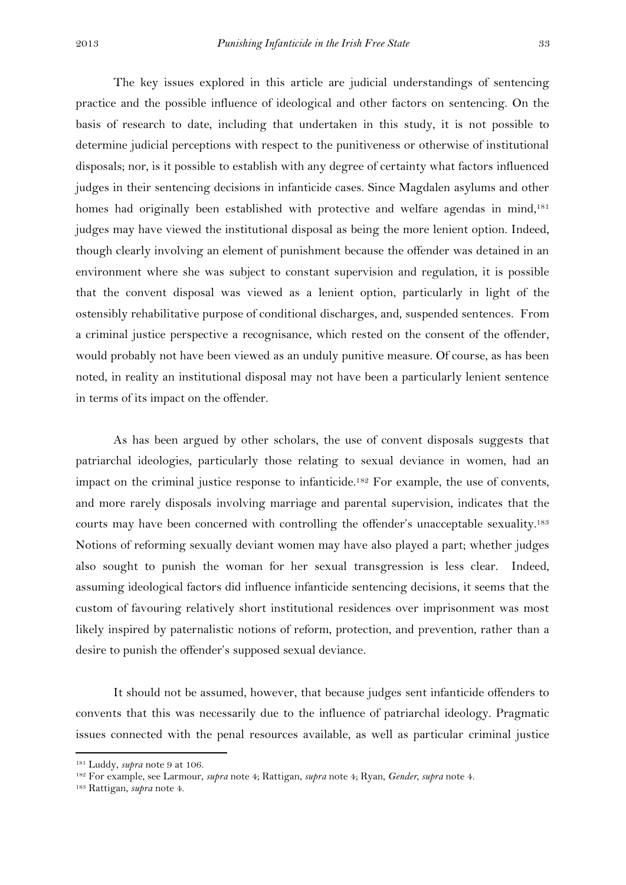The key issues explored in this article are judicial understandings of sentencing practice and the possible influence of ideological and other factors on sentencing. On the basis of research to date, including that undertaken in this study, it is not possible to determine judicial perceptions with respect to the punitiveness or otherwise of institutional disposals; nor, is it possible to establish with any degree of certainty what factors influenced judges in their sentencing decisions in infanticide cases. Since Magdalen asylums and other homes had originally been established with protective and welfare agendas in mind,<sup>181</sup> judges may have viewed the institutional disposal as being the more lenient option. Indeed, though clearly involving an element of punishment because the offender was detained in an environment where she was subject to constant supervision and regulation, it is possible that the convent disposal was viewed as a lenient option, particularly in light of the ostensibly rehabilitative purpose of conditional discharges, and, suspended sentences. From a criminal justice perspective a recognisance, which rested on the consent of the offender, would probably not have been viewed as an unduly punitive measure. Of course, as has been noted, in reality an institutional disposal may not have been a particularly lenient sentence in terms of its impact on the offender.

As has been argued by other scholars, the use of convent disposals suggests that patriarchal ideologies, particularly those relating to sexual deviance in women, had an impact on the criminal justice response to infanticide. <sup>182</sup> For example, the use of convents, and more rarely disposals involving marriage and parental supervision, indicates that the courts may have been concerned with controlling the offender's unacceptable sexuality. 183 Notions of reforming sexually deviant women may have also played a part; whether judges also sought to punish the woman for her sexual transgression is less clear. Indeed, assuming ideological factors did influence infanticide sentencing decisions, it seems that the custom of favouring relatively short institutional residences over imprisonment was most likely inspired by paternalistic notions of reform, protection, and prevention, rather than a desire to punish the offender's supposed sexual deviance.

It should not be assumed, however, that because judges sent infanticide offenders to convents that this was necessarily due to the influence of patriarchal ideology. Pragmatic issues connected with the penal resources available, as well as particular criminal justice

<sup>181</sup> Luddy, *supra* note 9 at 106.

<sup>182</sup> For example, see Larmour, *supra* note 4; Rattigan, *supra* note 4; Ryan, *Gender, supra* note 4.

<sup>183</sup> Rattigan, *supra* note 4.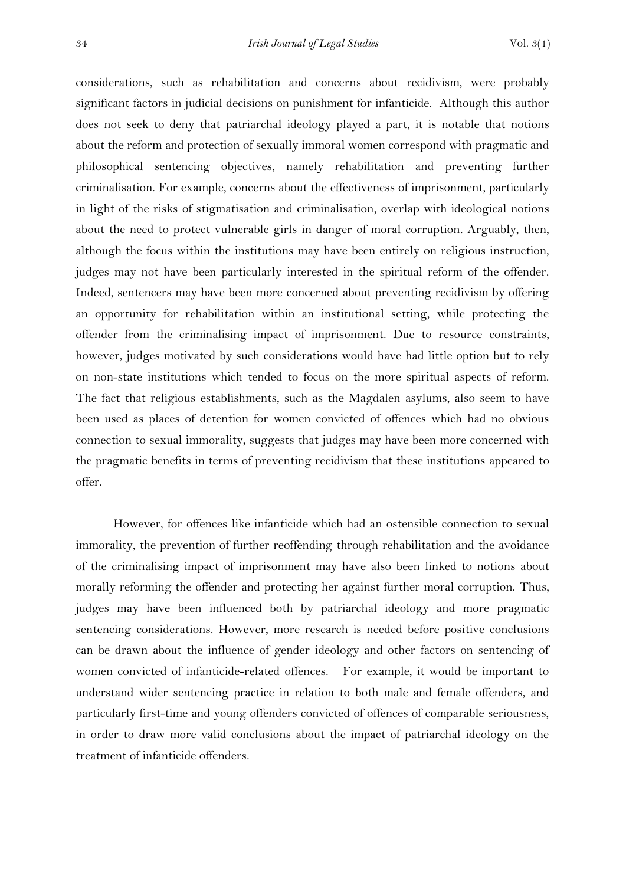considerations, such as rehabilitation and concerns about recidivism, were probably significant factors in judicial decisions on punishment for infanticide. Although this author does not seek to deny that patriarchal ideology played a part, it is notable that notions about the reform and protection of sexually immoral women correspond with pragmatic and philosophical sentencing objectives, namely rehabilitation and preventing further criminalisation. For example, concerns about the effectiveness of imprisonment, particularly in light of the risks of stigmatisation and criminalisation, overlap with ideological notions about the need to protect vulnerable girls in danger of moral corruption. Arguably, then, although the focus within the institutions may have been entirely on religious instruction, judges may not have been particularly interested in the spiritual reform of the offender. Indeed, sentencers may have been more concerned about preventing recidivism by offering an opportunity for rehabilitation within an institutional setting, while protecting the offender from the criminalising impact of imprisonment. Due to resource constraints, however, judges motivated by such considerations would have had little option but to rely on non-state institutions which tended to focus on the more spiritual aspects of reform. The fact that religious establishments, such as the Magdalen asylums, also seem to have been used as places of detention for women convicted of offences which had no obvious connection to sexual immorality, suggests that judges may have been more concerned with the pragmatic benefits in terms of preventing recidivism that these institutions appeared to offer.

However, for offences like infanticide which had an ostensible connection to sexual immorality, the prevention of further reoffending through rehabilitation and the avoidance of the criminalising impact of imprisonment may have also been linked to notions about morally reforming the offender and protecting her against further moral corruption. Thus, judges may have been influenced both by patriarchal ideology and more pragmatic sentencing considerations. However, more research is needed before positive conclusions can be drawn about the influence of gender ideology and other factors on sentencing of women convicted of infanticide-related offences. For example, it would be important to understand wider sentencing practice in relation to both male and female offenders, and particularly first-time and young offenders convicted of offences of comparable seriousness, in order to draw more valid conclusions about the impact of patriarchal ideology on the treatment of infanticide offenders.